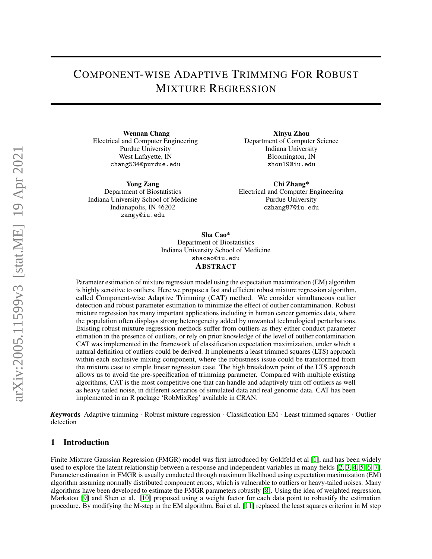# COMPONENT-WISE ADAPTIVE TRIMMING FOR ROBUST MIXTURE REGRESSION

Wennan Chang Electrical and Computer Engineering Purdue University West Lafayette, IN chang534@purdue.edu

Yong Zang Department of Biostatistics Indiana University School of Medicine Indianapolis, IN 46202 zangy@iu.edu

Xinyu Zhou Department of Computer Science Indiana University Bloomington, IN zhou19@iu.edu

Chi Zhang\* Electrical and Computer Engineering Purdue University czhang87@iu.edu

Sha Cao\* Department of Biostatistics Indiana University School of Medicine shacao@iu.edu ABSTRACT

Parameter estimation of mixture regression model using the expectation maximization (EM) algorithm is highly sensitive to outliers. Here we propose a fast and efficient robust mixture regression algorithm, called Component-wise Adaptive Trimming (CAT) method. We consider simultaneous outlier detection and robust parameter estimation to minimize the effect of outlier contamination. Robust mixture regression has many important applications including in human cancer genomics data, where the population often displays strong heterogeneity added by unwanted technological perturbations. Existing robust mixture regression methods suffer from outliers as they either conduct parameter etimation in the presence of outliers, or rely on prior knowledge of the level of outlier contamination. CAT was implemented in the framework of classification expectation maximization, under which a natural definition of outliers could be derived. It implements a least trimmed squares (LTS) approach within each exclusive mixing component, where the robustness issue could be transformed from the mixture case to simple linear regression case. The high breakdown point of the LTS approach allows us to avoid the pre-specification of trimming parameter. Compared with multiple existing algorithms, CAT is the most competitive one that can handle and adaptively trim off outliers as well as heavy tailed noise, in different scenarios of simulated data and real genomic data. CAT has been implemented in an R package 'RobMixReg' available in CRAN.

*K*eywords Adaptive trimming · Robust mixture regression · Classification EM · Least trimmed squares · Outlier detection

### 1 Introduction

Finite Mixture Gaussian Regression (FMGR) model was first introduced by Goldfeld et al [\[1\]](#page-13-0), and has been widely used to explore the latent relationship between a response and independent variables in many fields [\[2,](#page-13-1) [3,](#page-13-2) [4,](#page-13-3) [5,](#page-13-4) [6,](#page-13-5) [7\]](#page-13-6). Parameter estimation in FMGR is usually conducted through maximum likelihood using expectation maximization (EM) algorithm assuming normally distributed component errors, which is vulnerable to outliers or heavy-tailed noises. Many algorithms have been developed to estimate the FMGR parameters robustly [\[8\]](#page-13-7). Using the idea of weighted regression, Markatou [\[9\]](#page-13-8) and Shen et al. [\[10\]](#page-13-9) proposed using a weight factor for each data point to robustify the estimation procedure. By modifying the M-step in the EM algorithm, Bai et al. [\[11\]](#page-13-10) replaced the least squares criterion in M step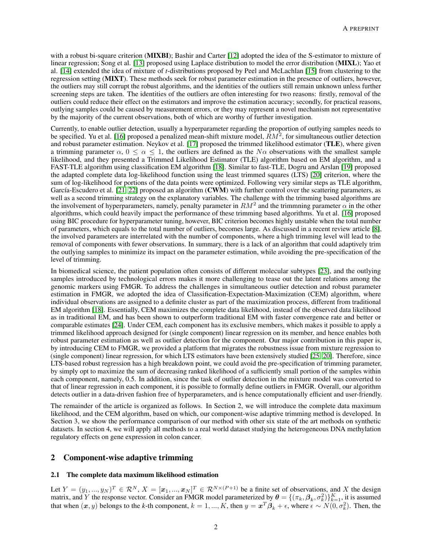with a robust bi-square criterion (**MIXBI**); Bashir and Carter [\[12\]](#page-13-11) adopted the idea of the S-estimator to mixture of linear regression; Song et al. [\[13\]](#page-13-12) proposed using Laplace distribution to model the error distribution (MIXL); Yao et al. [\[14\]](#page-13-13) extended the idea of mixture of *t*-distributions proposed by Peel and McLachlan [\[15\]](#page-13-14) from clustering to the regression setting (MIXT). These methods seek for robust parameter estimation in the presence of outliers, however, the outliers may still corrupt the robust algorithms, and the identities of the outliers still remain unknown unless further screening steps are taken. The identities of the outliers are often interesting for two reasons: firstly, removal of the outliers could reduce their effect on the estimators and improve the estimation accuracy; secondly, for practical reasons, outlying samples could be caused by measurement errors, or they may represent a novel mechanism not representative by the majority of the current observations, both of which are worthy of further investigation.

Currently, to enable outlier detection, usually a hyperparameter regarding the proportion of outlying samples needs to be specified. Yu et al. [\[16\]](#page-13-15) proposed a penalized mean-shift mixture model,  $\hat{R}M^2$ , for simultaneous outlier detection and robust parameter estimation. Neykov et al. [\[17\]](#page-13-16) proposed the trimmed likelihood estimator (TLE), where given a trimming parameter  $\alpha$ ,  $0 \le \alpha \le 1$ , the outliers are defined as the  $N\alpha$  observations with the smallest sample likelihood, and they presented a Trimmed Likelihood Estimator (TLE) algorithm based on EM algorithm, and a FAST-TLE algorithm using classification EM algorithm [\[18\]](#page-13-17). Similar to fast-TLE, Dogru and Arslan [\[19\]](#page-13-18) proposed the adapted complete data log-likelihood function using the least trimmed squares (LTS) [\[20\]](#page-13-19) criterion, where the sum of log-likelihood for portions of the data points were optimized. Following very similar steps as TLE algorithm, García-Escudero et al. [\[21,](#page-13-20) [22\]](#page-13-21) proposed an algorithm (CWM) with further control over the scattering parameters, as well as a second trimming strategy on the explanatory variables. The challenge with the trimming based algorithms are the involvement of hyperparameters, namely, penalty parameter in  $RM^2$  and the trimmning parameter  $\alpha$  in the other algorithms, which could heavily impact the performance of these trimming based algorithms. Yu et al. [\[16\]](#page-13-15) proposed using BIC procedure for hyperparameter tuning, however, BIC criterion becomes highly unstable when the total number of parameters, which equals to the total number of outliers, becomes large. As discussed in a recent review article [\[8\]](#page-13-7), the involved parameters are interrelated with the number of components, where a high trimming level will lead to the removal of components with fewer observations. In summary, there is a lack of an algorithm that could adaptively trim the outlying samples to minimize its impact on the parameter estimation, while avoiding the pre-specification of the level of trimming.

In biomedical science, the patient population often consists of different molecular subtypes [\[23\]](#page-13-22), and the outlying samples introduced by technological errors makes it more challenging to tease out the latent relations among the genomic markers using FMGR. To address the challenges in simultaneous outlier detection and robust parameter estimation in FMGR, we adopted the idea of Classification-Expectation-Maximization (CEM) algorithm, where individual observations are assigned to a definite cluster as part of the maximization process, different from traditional EM algorithm [\[18\]](#page-13-17). Essentially, CEM maximizes the complete data likelihood, instead of the observed data likelihood as in traditional EM, and has been shown to outperform traditional EM with faster convergence rate and better or comparable estimates [\[24\]](#page-13-23). Under CEM, each component has its exclusive members, which makes it possible to apply a trimmed likelihood approach designed for (single component) linear regression on its member, and hence enables both robust parameter estimation as well as outlier detection for the component. Our major contribution in this paper is, by introducing CEM to FMGR, we provided a platform that migrates the robustness issue from mixture regression to (single component) linear regression, for which LTS estimators have been extensively studied [\[25,](#page-14-0) [20\]](#page-13-19). Therefore, since LTS-based robust regression has a high breakdown point, we could avoid the pre-specification of trimming parameter, by simply opt to maximize the sum of decreasing ranked likelihood of a sufficiently small portion of the samples within each component, namely, 0.5. In addition, since the task of outlier detection in the mixture model was converted to that of linear regression in each component, it is possible to formally define outliers in FMGR. Overall, our algorithm detects outlier in a data-driven fashion free of hyperparameters, and is hence computationally efficient and user-friendly.

The remainder of the article is organized as follows. In Section 2, we will introduce the complete data maximum likelihood, and the CEM algorithm, based on which, our component-wise adaptive trimming method is developed. In Section 3, we show the performance comparison of our method with other six state of the art methods on synthetic datasets. In section 4, we will apply all methods to a real world dataset studying the heterogeneous DNA methylation regulatory effects on gene expression in colon cancer.

## 2 Component-wise adaptive trimming

### 2.1 The complete data maximum likelihood estimation

Let  $Y = (y_1, ..., y_N)^T \in \mathcal{R}^N$ ,  $X = [\mathbf{x}_1, ..., \mathbf{x}_N]^T \in \mathcal{R}^{N \times (P+1)}$  be a finite set of observations, and X the design matrix, and Y the response vector. Consider an FMGR model parameterized by  $\theta = \{(\pi_k, \beta_k, \sigma_k^2)\}_{k=1}^K$ , it is assumed that when  $(x, y)$  belongs to the *k*-th component,  $k = 1, ..., K$ , then  $y = x^T \beta_k + \epsilon$ , where  $\epsilon \sim N(0, \sigma_k^2)$ . Then, the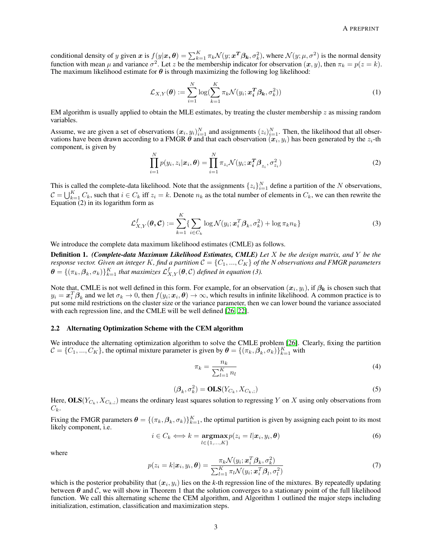conditional density of y given  $x$  is  $f(y|\bm{x},\bm{\theta}) = \sum_{k=1}^K \pi_k \mathcal{N}(y;\bm{x^T}\bm{\beta_k},\sigma_k^2),$  where  $\mathcal{N}(y;\mu,\sigma^2)$  is the normal density function with mean  $\mu$  and variance  $\sigma^2$ . Let z be the membership indicator for observation  $(x, y)$ , then  $\pi_k = p(z = k)$ . The maximum likelihood estimate for  $\theta$  is through maximizing the following log likelihood:

$$
\mathcal{L}_{X,Y}(\boldsymbol{\theta}) := \sum_{i=1}^{N} \log(\sum_{k=1}^{K} \pi_k \mathcal{N}(y_i; \boldsymbol{x}_i^T \boldsymbol{\beta_k}, \sigma_k^2))
$$
(1)

EM algorithm is usually applied to obtain the MLE estimates, by treating the cluster membership  $z$  as missing random variables.

Assume, we are given a set of observations  $(x_i, y_i)_{i=1}^N$  and assignments  $(z_i)_{i=1}^N$ . Then, the likelihood that all observations have been drawn according to a FMGR  $\theta$  and that each observation  $(x_i, y_i)$  has been generated by the  $z_i$ -th component, is given by

$$
\prod_{i=1}^{N} p(y_i, z_i | \boldsymbol{x}_i, \boldsymbol{\theta}) = \prod_{i=1}^{N} \pi_{z_i} \mathcal{N}(y_i; \boldsymbol{x}_i^T \boldsymbol{\beta}_{z_i}, \sigma_{z_i}^2)
$$
\n(2)

This is called the complete-data likelihood. Note that the assignments  $\{z_i\}_{i=1}^N$  define a partition of the N observations,  $\mathcal{C} = \bigcup_{k=1}^K C_k$ , such that  $i \in C_k$  iff  $z_i = k$ . Denote  $n_k$  as the total number of elements in  $C_k$ , we can then rewrite the Equation (2) in its logarithm form as

$$
\mathcal{L}_{X,Y}^f(\boldsymbol{\theta}, \mathcal{C}) := \sum_{k=1}^K \{ \sum_{i \in C_k} \log \mathcal{N}(y_i; \boldsymbol{x}_i^T \boldsymbol{\beta}_k, \sigma_k^2) + \log \pi_k n_k \}
$$
(3)

We introduce the complete data maximum likelihood estimates (CMLE) as follows.

Definition 1. *(Complete-data Maximum Likelihood Estimates, CMLE) Let* X *be the design matrix, and* Y *be the response vector. Given an integer K, find a partition*  $C = \{C_1, ..., C_K\}$  *of the N observations and FMGR parameters*  $\bm{\theta} = \{(\pi_k,\bm{\beta}_k,\sigma_k)\}_{k=1}^K$  that maximizes  $\mathcal{L}^f_{X,Y}(\bm{\theta},\mathcal{C})$  defined in equation (3).

Note that, CMLE is not well defined in this form. For example, for an observation  $(x_i, y_i)$ , if  $\beta_k$  is chosen such that  $y_i = \boldsymbol{x}_i^T \boldsymbol{\beta}_k$  and we let  $\sigma_k \to 0$ , then  $f(y_i; \boldsymbol{x}_i, \boldsymbol{\theta}) \to \infty$ , which results in infinite likelihood. A common practice is to put some mild restrictions on the cluster size or the variance parameter, then we can lower bound the variance associated with each regression line, and the CMLE will be well defined [\[26,](#page-14-1) [22\]](#page-13-21).

#### 2.2 Alternating Optimization Scheme with the CEM algorithm

We introduce the alternating optimization algorithm to solve the CMLE problem [\[26\]](#page-14-1). Clearly, fixing the partition  $C = \{C_1, ..., C_K\}$ , the optimal mixture parameter is given by  $\boldsymbol{\theta} = \{(\pi_k, \boldsymbol{\beta}_k, \sigma_k)\}_{k=1}^K$  with

$$
\pi_k = \frac{n_k}{\sum_{l=1}^K n_l} \tag{4}
$$

$$
(\boldsymbol{\beta}_k, \sigma_k^2) = \mathbf{OLS}(Y_{C_k}, X_{C_k,:})
$$
\n<sup>(5)</sup>

Here,  $\mathbf{OLS}(Y_{C_k},X_{C_k,:})$  means the ordinary least squares solution to regressing Y on X using only observations from  $C_k$ .

Fixing the FMGR parameters  $\theta = \{(\pi_k, \beta_k, \sigma_k)\}_{k=1}^K$ , the optimal partition is given by assigning each point to its most likely component, i.e.

$$
i \in C_k \Longleftrightarrow k = \underset{l \in \{1, \ldots, K\}}{\operatorname{argmax}} p(z_i = l | x_i, y_i, \theta) \tag{6}
$$

where

$$
p(z_i = k | \boldsymbol{x}_i, y_i, \boldsymbol{\theta}) = \frac{\pi_k \mathcal{N}(y_i; \boldsymbol{x}_i^T \boldsymbol{\beta}_k, \sigma_k^2)}{\sum_{l=1}^K \pi_l \mathcal{N}(y_i; \boldsymbol{x}_i^T \boldsymbol{\beta}_l, \sigma_l^2)}
$$
(7)

which is the posterior probability that  $(x_i, y_i)$  lies on the k-th regression line of the mixtures. By repeatedly updating between  $\theta$  and  $\mathcal{C}$ , we will show in Theorem 1 that the solution converges to a stationary point of the full likelihood function. We call this alternating scheme the CEM algorithm, and Algorithm 1 outlined the major steps including initialization, estimation, classification and maximization steps.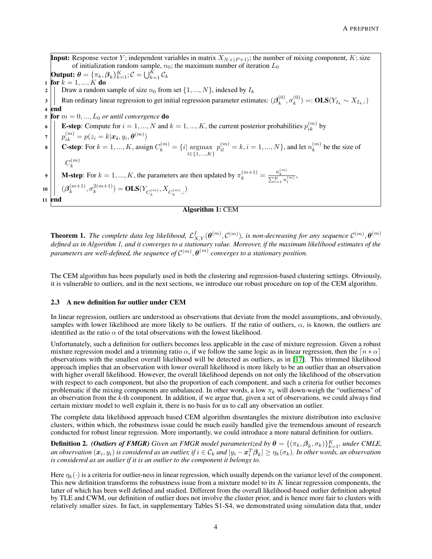**Input:** Response vector Y; independent variables in matrix  $X_{N\times(P+1)}$ ; the number of mixing component, K; size of initialization random sample,  $n_0$ ; the maximum number of iteration  $L_0$ Output:  $\boldsymbol{\theta} = \{\pi_k, \boldsymbol{\beta}_k\}_{k=1}^K; \mathcal{C} = \bigcup_{k=1}^K \mathcal{C}_k$ 1 for  $k = 1, ..., K$  do 2 | | Draw a random sample of size  $n_0$  from set  $\{1, ..., N\}$ , indexed by  $I_k$ 3 Run ordinary linear regression to get initial regression parameter estimates:  $(\beta_k^{(0)})$  $_{k}^{(0)},\sigma_{k}^{(0)}$  $(k^{(0)}) =: **OLS**(Y_{I_k} \sim X_{I_k,:})$ 4 end 5 for  $m = 0, ..., L_0$  *or until convergence* **do** 6 **E**-step: Compute for  $i = 1, ..., N$  and  $k = 1, ..., K$ , the current posterior probabilities  $p_{ik}^{(m)}$  by  $\sigma \mathbin{\bigg|} \quad p_{ik}^{(m)} = p(z_i=k|\bm{x_i},y_i,\bm{\theta}^{(m)})$ **8 C-step:** For  $k = 1, ..., K$ , assign  $C_k^{(m)} = \{i | \operatorname*{argmax}_{l \in \{1, ..., K\}}$  $p_{il}^{(m)}=k,i=1,...,N\},$  and let  $n_k^{(m)}$  $k^{(m)}$  be the size of  $\mathcal{C}_{0}^{0}$  $(m)$ k **M-step:** For  $k = 1, ..., K$ , the parameters are then updated by  $\pi_k^{(m+1)} = \frac{n_k^{(m)}}{\sum_{l=1}^{K} n_l^{(m)}}$ , 10  $|\;| \; (\boldsymbol{\beta}^{(m+1)}_k)$  $\binom{m+1}{k}, \sigma_k^{2(m+1)}$  $(k^{2(m+1)}) = \mathbf{OLS}(Y_{C_k^{(m)}}, X_{C_k^{(m)},:})$ 11 end Algorithm 1: CEM

**Theorem 1.** The complete data log likelihood,  $\mathcal{L}_{X,Y}^f(\theta^{(m)},\mathcal{C}^{(m)})$ , is non-decreasing for any sequence  $\mathcal{C}^{(m)},\theta^{(m)}$ *defined as in Algorithm 1, and it converges to a stationary value. Moreover, if the maximum likelihood estimates of the* parameters are well-defined, the sequence of  $\mathcal{C}^{(m)}, \bm{\theta}^{(m)}$  converges to a stationary position.

The CEM algorithm has been popularly used in both the clustering and regression-based clustering settings. Obviously, it is vulnerable to outliers, and in the next sections, we introduce our robust procedure on top of the CEM algorithm.

### 2.3 A new definition for outlier under CEM

In linear regression, outliers are understood as observations that deviate from the model assumptions, and obviously, samples with lower likelihood are more likely to be outliers. If the ratio of outliers,  $\alpha$ , is known, the outliers are identified as the ratio  $\alpha$  of the total observations with the lowest likelihood.

Unfortunately, such a definition for outliers becomes less applicable in the case of mixture regression. Given a robust mixture regression model and a trimming ratio  $\alpha$ , if we follow the same logic as in linear regression, then the  $\lfloor n * \alpha \rfloor$ observations with the smallest overall likelihood will be detected as outliers, as in [\[17\]](#page-13-16). This trimmed likelihood approach implies that an observation with lower overall likelihood is more likely to be an outlier than an observation with higher overall likelihood. However, the overall likelihood depends on not only the likelihood of the observation with respect to each component, but also the proportion of each component, and such a criteria for outlier becomes problematic if the mixing components are unbalanced. In other words, a low  $\pi_k$  will down-weigh the "outlierness" of an observation from the *k-*th component. In addition, if we argue that, given a set of observations, we could always find certain mixture model to well explain it, there is no basis for us to call any observation an outlier.

The complete data likelihood approach based CEM algorithm disentangles the mixture distribution into exclusive clusters, within which, the robustness issue could be much easily handled give the tremendous amount of research conducted for robust linear regression. More importantly, we could introduce a more natural definition for outliers.

**Definition 2.** (Outliers of FMGR) Given an FMGR model parameterized by  $\theta = \{(\pi_k, \beta_k, \sigma_k)\}_{k=1}^K$ , under CMLE, an observation  $(\bm x_i,y_i)$  is considered as an outlier, if  $i\in\mathcal C_k$  and  $|y_i-\bm x_i^T\bm\beta_k|\geq\eta_k(\sigma_k).$  In other words, an observation *is considered as an outlier if it is an outlier to the component it belongs to.*

Here  $n_k(\cdot)$  is a criteria for outlier-ness in linear regression, which usually depends on the variance level of the component. This new definition transforms the robustness issue from a mixture model to its  $K$  linear regression components, the latter of which has been well defined and studied. Different from the overall likelihood-based outlier definition adopted by TLE and CWM, our definition of outlier does not involve the cluster prior, and is hence more fair to clusters with relatively smaller sizes. In fact, in supplementary Tables S1-S4, we demonstrated using simulation data that, under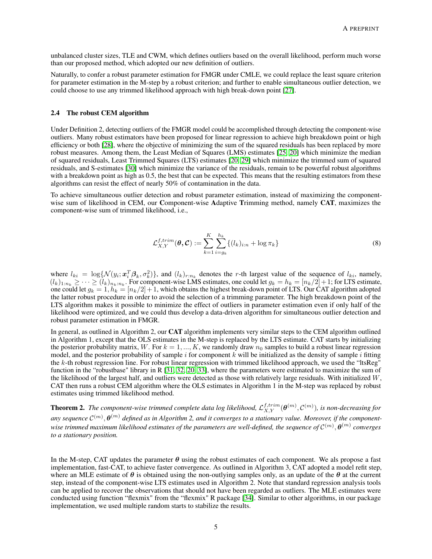unbalanced cluster sizes, TLE and CWM, which defines outliers based on the overall likelihood, perform much worse than our proposed method, which adopted our new definition of outliers.

Naturally, to confer a robust parameter estimation for FMGR under CMLE, we could replace the least square criterion for parameter estimation in the M-step by a robust criterion; and further to enable simultaneous outlier detection, we could choose to use any trimmed likelihood approach with high break-down point [\[27\]](#page-14-2).

#### 2.4 The robust CEM algorithm

Under Definition 2, detecting outliers of the FMGR model could be accomplished through detecting the component-wise outliers. Many robust estimators have been proposed for linear regression to achieve high breakdown point or high efficiency or both [\[28\]](#page-14-3), where the objective of minimizing the sum of the squared residuals has been replaced by more robust measures. Among them, the Least Median of Squares (LMS) estimates [\[25,](#page-14-0) [20\]](#page-13-19) which minimize the median of squared residuals, Least Trimmed Squares (LTS) estimates [\[20,](#page-13-19) [29\]](#page-14-4) which minimize the trimmed sum of squared residuals, and S-estimates [\[30\]](#page-14-5) which minimize the variance of the residuals, remain to be powerful robust algorithms with a breakdown point as high as 0.5, the best that can be expected. This means that the resulting estimators from these algorithms can resist the effect of nearly 50% of contamination in the data.

To achieve simultaneous outlier detection and robust parameter estimation, instead of maximizing the componentwise sum of likelihood in CEM, our Component-wise Adaptive Trimming method, namely CAT, maximizes the component-wise sum of trimmed likelihood, i.e.,

$$
\mathcal{L}_{X,Y}^{f,trim}(\boldsymbol{\theta}, \mathcal{C}) := \sum_{k=1}^{K} \sum_{i=g_k}^{h_k} \{ (l_k)_{i:n} + \log \pi_k \}
$$
(8)

where  $l_{ki} = \log \{ \mathcal{N}(y_i; \mathbf{x}_i^T \mathcal{B}_k, \sigma_k^2) \}$ , and  $(l_k)_{r:n_k}$  denotes the r-th largest value of the sequence of  $l_{ki}$ , namely,  $(l_k)_{1:n_k} \geq \cdots \geq (l_k)_{n_k:n_k}$ . For component-wise LMS estimates, one could let  $g_k = h_k = [n_k/2]+1$ ; for LTS estimate, one could let  $g_k = 1$ ,  $h_k = [n_k/2]+1$ , which obtains the highest break-down point of LTS. Our CAT algorithm adopted the latter robust procedure in order to avoid the selection of a trimming parameter. The high breakdown point of the LTS algorithm makes it possible to minimize the effect of outliers in parameter estimation even if only half of the likelihood were optimized, and we could thus develop a data-driven algorithm for simultaneous outlier detection and robust parameter estimation in FMGR.

In general, as outlined in Algorithm 2, our CAT algorithm implements very similar steps to the CEM algorithm outlined in Algorithm 1, except that the OLS estimates in the M-step is replaced by the LTS estimate. CAT starts by initializing the posterior probability matrix, W. For  $k = 1, ..., K$ , we randomly draw  $n_0$  samples to build a robust linear regression model, and the posterior probability of sample  $i$  for component  $k$  will be initialized as the density of sample  $i$  fitting the k-th robust regression line. For robust linear regression with trimmed likelihood approach, we used the "ltsReg" function in the "robustbase" library in R [\[31,](#page-14-6) [32,](#page-14-7) [20,](#page-13-19) [33\]](#page-14-8), where the parameters were estimated to maximize the sum of the likelihood of the largest half, and outliers were detected as those with relatively large residuals. With initialized  $W$ , CAT then runs a robust CEM algorithm where the OLS estimates in Algorithm 1 in the M-step was replaced by robust estimates using trimmed likelihood method.

**Theorem 2.** The component-wise trimmed complete data log likelihood,  $\mathcal{L}_{X,Y}^{f,trim}(\bm{\theta}^{(m)},C^{(m)}),$  is non-decreasing for any sequence  ${\cal C}^{(m)},\bm\theta^{(m)}$  defined as in Algorithm 2, and it converges to a stationary value. Moreover, if the componentwise trimmed maximum likelihood estimates of the parameters are well-defined, the sequence of  ${\cal C}^{(m)},\bm{\theta}^{(m)}$  converges *to a stationary position.*

In the M-step, CAT updates the parameter  $\theta$  using the robust estimates of each component. We als propose a fast implementation, fast-CAT, to achieve faster convergence. As outlined in Algorithm 3, CAT adopted a model refit step, where an MLE estimate of  $\theta$  is obtained using the non-outlying samples only, as an update of the  $\theta$  at the current step, instead of the component-wise LTS estimates used in Algorithm 2. Note that standard regression analysis tools can be applied to recover the observations that should not have been regarded as outliers. The MLE estimates were conducted using function "flexmix" from the "flexmix" R package [\[34\]](#page-14-9). Similar to other algorithms, in our package implementation, we used multiple random starts to stabilize the results.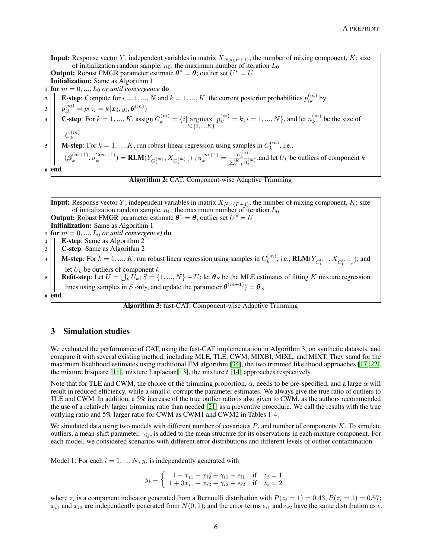**Input:** Response vector Y; independent variables in matrix  $X_{N\times(P+1)}$ ; the number of mixing component, K; size of initialization random sample,  $n_0$ ; the maximum number of iteration  $L_0$ **Output:** Robust FMGR parameter estimate  $\theta^* = \theta$ ; outlier set  $U^* = U$ Initialization: Same as Algorithm 1 1 **for**  $m = 0, ..., L_0$  *or until convergence* **do 2 E**-step: Compute for  $i = 1, ..., N$  and  $k = 1, ..., K$ , the current posterior probabilities  $p_{ik}^{(m)}$  by  $\mathbf{B} \hspace{0.5em} \left| \hspace{0.5em} \right. p_{ik}^{(m)} = p(z_i = k | \bm{x_i}, y_i, \bm{\theta}^{(m)})$ **4 C-step:** For  $k = 1, ..., K$ , assign  $C_k^{(m)} = \{i | \operatorname*{argmax}_{l \in \{1, ..., K\}}$  $p_{il}^{(m)} = k, i = 1, ..., N$ }, and let  $n_k^{(m)}$  $k^{(m)}$  be the size of  $C_k^{(m)}$ k 5 **M-step**: For  $k = 1, ..., K$ , run robust linear regression using samples in  $C_k^{(m)}$  $k^{(m)}$ , i.e.,  $(\boldsymbol{\beta}_k^{(m+1)}$  $\binom{m+1}{k}, \sigma_k^{2(m+1)}$  $\binom{2(m+1)}{k} = \textbf{RLM}(Y_{C_k^{(m)}}, X_{C_k^{(m)},:})$ ;  $\pi_k^{(m+1)} = \frac{n_k^{(m)}}{\sum_{l=1}^K n_l^{(m)}}$ ; and let  $U_k$  be outliers of component k 6 end



**Input:** Response vector Y; independent variables in matrix  $X_{N\times(P+1)}$ ; the number of mixing component, K; size

of initialization random sample,  $n_0$ ; the maximum number of iteration  $L_0$ 

**Output:** Robust FMGR parameter estimate  $\theta^* = \theta$ ; outlier set  $U^* = U$ Initialization: Same as Algorithm 1 1 **for**  $m = 0, ..., L_0$  *or until convergence*) **do**  $2 \mid \cdot \mid$  **E-step:** Same as Algorithm 2 <sup>3</sup> C-step: Same as Algorithm 2 4 **M-step**: For  $k = 1, ..., K$ , run robust linear regression using samples in  $C_k^{(m)}$  $k^{(m)}$ , i.e., **RLM** $(Y_{C_k^{(m)}}, X_{C_k^{(m)},:})$ ; and let  $U_k$  be outliers of component  $k$ **5** Refit-step: Let  $U = \bigcup_k U_k$ ;  $S = \{1, ..., N\} - U$ ; let  $\boldsymbol{\theta}_S$  be the MLE estimates of fitting K mixture regression lines using samples in S only, and update the parameter  $\boldsymbol{\theta}^{(m+1)}$  =  $\boldsymbol{\theta}_S$ 6 end Algorithm 3: fast-CAT: Component-wise Adaptive Trimming

# 3 Simulation studies

We evaluated the performance of CAT, using the fast-CAT implementation in Algorithm 3, on synthetic datasets, and compare it with several existing method, including MLE, TLE, CWM, MIXBI, MIXL, and MIXT. They stand for the maximum likelihood estimates using traditional EM algorithm [\[34\]](#page-14-9), the two trimmed likelihood approaches [\[17,](#page-13-16) [22\]](#page-13-21), the mixture bisquare [\[11\]](#page-13-10), mixture Laplacian[\[13\]](#page-13-12), the mixture  $t$  [\[14\]](#page-13-13) approaches respectively.

Note that for TLE and CWM, the choice of the trimming proportion,  $\alpha$ , needs to be pre-specified, and a large  $\alpha$  will result in reduced efficiency, while a small  $\alpha$  corrupt the parameter estimates. We always give the true ratio of outliers to TLE and CWM. In addition, a 5% increase of the true outlier ratio is also given to CWM, as the authors recommended the use of a relatively larger trimming ratio than needed [\[21\]](#page-13-20) as a preventive procedure. We call the results with the true outlying ratio and 5% larger ratio for CWM as CWM1 and CWM2 in Tables 1-4.

We simulated data using two models with different number of covariates  $P$ , and number of components  $K$ . To simulate outliers, a mean-shift parameter,  $\gamma_{ij}$ , is added to the mean structure for its observations in each mixture component. For each model, we considered scenarios with different error distributions and different levels of outlier contamination.

Model 1: For each  $i = 1, ..., N$ ,  $y_i$  is independently generated with

$$
y_i = \begin{cases} 1 - x_{i1} + x_{i2} + \gamma_{i1} + \epsilon_{i1} & \text{if } z_i = 1 \\ 1 + 3x_{i1} + x_{i2} + \gamma_{i2} + \epsilon_{i2} & \text{if } z_i = 2 \end{cases}
$$

where  $z_i$  is a component indicator generated from a Bernoulli distribution with  $P(z_i = 1) = 0.43, P(z_i = 1) = 0.57$ ;  $x_{i1}$  and  $x_{i2}$  are independently generated from  $N(0, 1)$ ; and the error terms  $\epsilon_{i1}$  and  $\epsilon_{i2}$  have the same distribution as  $\epsilon$ .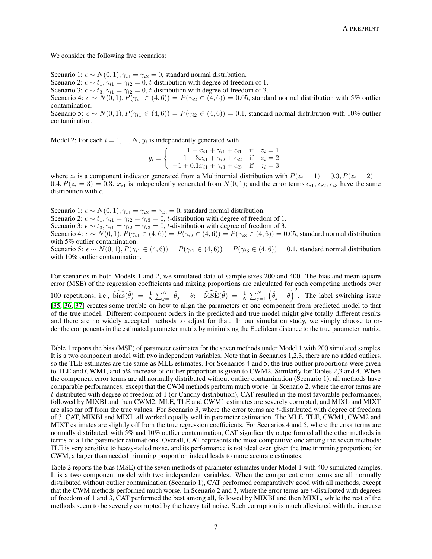We consider the following five scenarios:

Scenario 1:  $\epsilon \sim N(0, 1), \gamma_{i1} = \gamma_{i2} = 0$ , standard normal distribution.

Scenario 2:  $\epsilon \sim t_1$ ,  $\gamma_{i1} = \gamma_{i2} = 0$ , t-distribution with degree of freedom of 1.

Scenario 3:  $\epsilon \sim t_3$ ,  $\gamma_{i1} = \gamma_{i2} = 0$ , t-distribution with degree of freedom of 3.

Scenario 4:  $\epsilon \sim N(0, 1), P(\gamma_{i1} \in (4, 6)) = P(\gamma_{i2} \in (4, 6)) = 0.05$ , standard normal distribution with 5% outlier contamination.

Scenario 5:  $\epsilon \sim N(0, 1), P(\gamma_{i1} \in (4, 6)) = P(\gamma_{i2} \in (4, 6)) = 0.1$ , standard normal distribution with 10% outlier contamination.

Model 2: For each  $i = 1, ..., N$ ,  $y_i$  is independently generated with

$$
y_i = \begin{cases} 1 - x_{i1} + \gamma_{i1} + \epsilon_{i1} & \text{if } z_i = 1 \\ 1 + 3x_{i1} + \gamma_{i2} + \epsilon_{i2} & \text{if } z_i = 2 \\ -1 + 0.1x_{i1} + \gamma_{i3} + \epsilon_{i3} & \text{if } z_i = 3 \end{cases}
$$

where  $z_i$  is a component indicator generated from a Multinomial distribution with  $P(z_i = 1) = 0.3, P(z_i = 2) =$  $0.4, P(z_i = 3) = 0.3$ .  $x_{i1}$  is independently generated from  $N(0, 1)$ ; and the error terms  $\epsilon_{i1}, \epsilon_{i2}, \epsilon_{i3}$  have the same distribution with  $\epsilon$ .

Scenario 1:  $\epsilon \sim N(0, 1), \gamma_{i1} = \gamma_{i2} = \gamma_{i3} = 0$ , standard normal distribution. Scenario 2:  $\epsilon \sim t_1, \gamma_{i1} = \gamma_{i2} = \gamma_{i3} = 0$ , t-distribution with degree of freedom of 1. Scenario 3:  $\epsilon \sim t_3$ ,  $\gamma_{i1} = \gamma_{i2} = \gamma_{i3} = 0$ , t-distribution with degree of freedom of 3. Scenario 4:  $\epsilon \sim N(0, 1), P(\gamma_{i1} \in (4, 6)) = P(\gamma_{i2} \in (4, 6)) = P(\gamma_{i3} \in (4, 6)) = 0.05$ , standard normal distribution with 5% outlier contamination. Scenario 5:  $\epsilon \sim N(0, 1), P(\gamma_{i1} \in (4, 6)) = P(\gamma_{i2} \in (4, 6)) = P(\gamma_{i3} \in (4, 6)) = 0.1$ , standard normal distribution with 10% outlier contamination.

For scenarios in both Models 1 and 2, we simulated data of sample sizes 200 and 400. The bias and mean square error (MSE) of the regression coefficients and mixing proportions are calculated for each competing methods over 100 repetitions, i.e.,  $\widehat{\text{bias}}(\hat{\theta}) = \frac{1}{N} \sum_{j=1}^{N} \hat{\theta}_j - \theta; \quad \widehat{\text{MSE}}(\hat{\theta}) = \frac{1}{N} \sum_{j=1}^{N} (\hat{\theta}_j - \theta)^2$ . The label switching issue [\[35,](#page-14-10) [36,](#page-14-11) [37\]](#page-14-12) creates some trouble on how to align the parameters of one component from predicted model to that of the true model. Different component orders in the predicted and true model might give totally different results and there are no widely accepted methods to adjust for that. In our simulation study, we simply choose to order the components in the estimated parameter matrix by minimizing the Euclidean distance to the true parameter matrix.

Table 1 reports the bias (MSE) of parameter estimates for the seven methods under Model 1 with 200 simulated samples. It is a two component model with two independent variables. Note that in Scenarios 1,2,3, there are no added outliers, so the TLE estimates are the same as MLE estimates. For Scenarios 4 and 5, the true outlier proportions were given to TLE and CWM1, and 5% increase of outlier proportion is given to CWM2. Similarly for Tables 2,3 and 4. When the component error terms are all normally distributed without outlier contamination (Scenario 1), all methods have comparable performances, except that the CWM methods perform much worse. In Scenario 2, where the error terms are t-distributed with degree of freedom of 1 (or Cauchy distribution), CAT resulted in the most favorable performances, followed by MIXBI and then CWM2. MLE, TLE and CWM1 estimates are severely corrupted, and MIXL and MIXT are also far off from the true values. For Scenario 3, where the error terms are t-distributed with degree of freedom of 3, CAT, MIXBI and MIXL all worked equally well in parameter estimation. The MLE, TLE, CWM1, CWM2 and MIXT estimates are slightly off from the true regression coefficients. For Scenarios 4 and 5, where the error terms are normally distributed, with 5% and 10% outlier contamination, CAT significantly outperformed all the other methods in terms of all the parameter estimations. Overall, CAT represents the most competitive one among the seven methods; TLE is very sensitive to heavy-tailed noise, and its performance is not ideal even given the true trimming proportion; for CWM, a larger than needed trimming proportion indeed leads to more accurate estimates.

Table 2 reports the bias (MSE) of the seven methods of parameter estimates under Model 1 with 400 simulated samples. It is a two component model with two independent variables. When the component error terms are all normally distributed without outlier contamination (Scenario 1), CAT performed comparatively good with all methods, except that the CWM methods performed much worse. In Scenario 2 and 3, where the error terms are  $t$ -distributed with degrees of freedom of 1 and 3, CAT performed the best among all, followed by MIXBI and then MIXL, while the rest of the methods seem to be severely corrupted by the heavy tail noise. Such corruption is much alleviated with the increase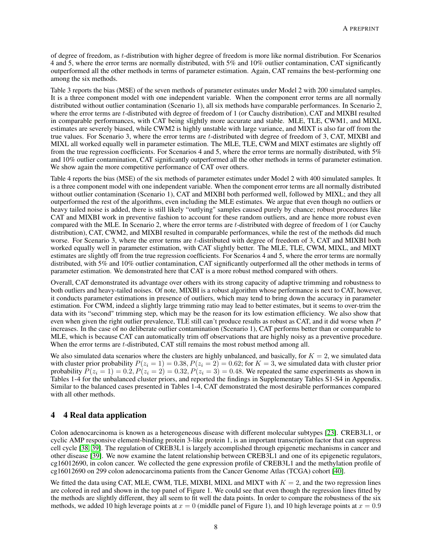of degree of freedom, as t-distribution with higher degree of freedom is more like normal distribution. For Scenarios 4 and 5, where the error terms are normally distributed, with 5% and 10% outlier contamination, CAT significantly outperformed all the other methods in terms of parameter estimation. Again, CAT remains the best-performing one among the six methods.

Table 3 reports the bias (MSE) of the seven methods of parameter estimates under Model 2 with 200 simulated samples. It is a three component model with one independent variable. When the component error terms are all normally distributed without outlier contamination (Scenario 1), all six methods have comparable performances. In Scenario 2, where the error terms are t-distributed with degree of freedom of 1 (or Cauchy distribution), CAT and MIXBI resulted in comparable performances, with CAT being slightly more accurate and stable. MLE, TLE, CWM1, and MIXL estimates are severely biased, while CWM2 is highly unstable with large variance, and MIXT is also far off from the true values. For Scenario 3, where the error terms are t-distributed with degree of freedom of 3, CAT, MIXBI and MIXL all worked equally well in parameter estimation. The MLE, TLE, CWM and MIXT estimates are slightly off from the true regression coefficients. For Scenarios 4 and 5, where the error terms are normally distributed, with 5% and 10% outlier contamination, CAT significantly outperformed all the other methods in terms of parameter estimation. We show again the more competitive performance of CAT over others.

Table 4 reports the bias (MSE) of the six methods of parameter estimates under Model 2 with 400 simulated samples. It is a three component model with one independent variable. When the component error terms are all normally distributed without outlier contamination (Scenario 1), CAT and MIXBI both performed well, followed by MIXL; and they all outperformed the rest of the algorithms, even including the MLE estimates. We argue that even though no outliers or heavy tailed noise is added, there is still likely "outlying" samples caused purely by chance; robust procedures like CAT and MIXBI work in preventive fashion to account for these random outliers, and are hence more robust even compared with the MLE. In Scenario 2, where the error terms are t-distributed with degree of freedom of 1 (or Cauchy distribution), CAT, CWM2, and MIXBI resulted in comparable performances, while the rest of the methods did much worse. For Scenario 3, where the error terms are t-distributed with degree of freedom of 3, CAT and MIXBI both worked equally well in parameter estimation, with CAT slightly better. The MLE, TLE, CWM, MIXL, and MIXT estimates are slightly off from the true regression coefficients. For Scenarios 4 and 5, where the error terms are normally distributed, with 5% and 10% outlier contamination, CAT significantly outperformed all the other methods in terms of parameter estimation. We demonstrated here that CAT is a more robust method compared with others.

Overall, CAT demonstrated its advantage over others with its strong capacity of adaptive trimming and robustness to both outliers and heavy-tailed noises. Of note, MIXBI is a robust algorithm whose performance is next to CAT, however, it conducts parameter estimations in presence of outliers, which may tend to bring down the accuracy in parameter estimation. For CWM, indeed a slightly large trimming ratio may lead to better estimates, but it seems to over-trim the data with its "second" trimming step, which may be the reason for its low estimation efficiency. We also show that even when given the right outlier prevalence, TLE still can't produce results as robust as CAT, and it did worse when P increases. In the case of no deliberate outlier contamination (Scenario 1), CAT performs better than or comparable to MLE, which is because CAT can automatically trim off observations that are highly noisy as a preventive procedure. When the error terms are *t*-distributed, CAT still remains the most robust method among all.

We also simulated data scenarios where the clusters are highly unbalanced, and basically, for  $K = 2$ , we simulated data with cluster prior probability  $P(z_i = 1) = 0.38$ ,  $P(z_i = 2) = 0.62$ ; for  $K = 3$ , we simulated data with cluster prior probability  $P(z_i = 1) = 0.2, P(z_i = 2) = 0.32, P(z_i = 3) = 0.48$ . We repeated the same experiments as shown in Tables 1-4 for the unbalanced cluster priors, and reported the findings in Supplementary Tables S1-S4 in Appendix. Similar to the balanced cases presented in Tables 1-4, CAT demonstrated the most desirable performances compared with all other methods.

# 4 4 Real data application

Colon adenocarcinoma is known as a heterogeneous disease with different molecular subtypes [\[23\]](#page-13-22). CREB3L1, or cyclic AMP responsive element-binding protein 3-like protein 1, is an important transcription factor that can suppress cell cycle [\[38,](#page-14-13) [39\]](#page-14-14). The regulation of CREB3L1 is largely accomplished through epigenetic mechanisms in cancer and other disease [\[39\]](#page-14-14). We now examine the latent relationship between CREB3L1 and one of its epigenetic regulators, cg16012690, in colon cancer. We collected the gene expression profile of CREB3L1 and the methylation profile of cg16012690 on 299 colon adenocarcinoma patients from the Cancer Genome Atlas (TCGA) cohort [\[40\]](#page-14-15).

We fitted the data using CAT, MLE, CWM, TLE, MIXBI, MIXL and MIXT with  $K = 2$ , and the two regression lines are colored in red and shown in the top panel of Figure 1. We could see that even though the regression lines fitted by the methods are slightly different, they all seem to fit well the data points. In order to compare the robustness of the six methods, we added 10 high leverage points at  $x = 0$  (middle panel of Figure 1), and 10 high leverage points at  $x = 0.9$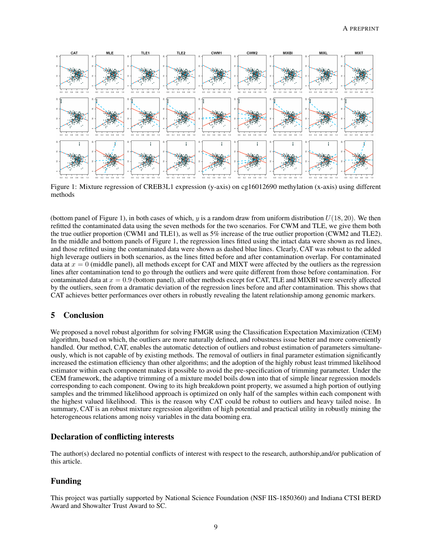

Figure 1: Mixture regression of CREB3L1 expression (y-axis) on cg16012690 methylation (x-axis) using different methods

(bottom panel of Figure 1), in both cases of which, y is a random draw from uniform distribution  $U(18, 20)$ . We then refitted the contaminated data using the seven methods for the two scenarios. For CWM and TLE, we give them both the true outlier proportion (CWM1 and TLE1), as well as 5% increase of the true outlier proportion (CWM2 and TLE2). In the middle and bottom panels of Figure 1, the regression lines fitted using the intact data were shown as red lines, and those refitted using the contaminated data were shown as dashed blue lines. Clearly, CAT was robust to the added high leverage outliers in both scenarios, as the lines fitted before and after contamination overlap. For contaminated data at  $x = 0$  (middle panel), all methods except for CAT and MIXT were affected by the outliers as the regression lines after contamination tend to go through the outliers and were quite different from those before contamination. For contaminated data at  $x = 0.9$  (bottom panel), all other methods except for CAT, TLE and MIXBI were severely affected by the outliers, seen from a dramatic deviation of the regression lines before and after contamination. This shows that CAT achieves better performances over others in robustly revealing the latent relationship among genomic markers.

# 5 Conclusion

We proposed a novel robust algorithm for solving FMGR using the Classification Expectation Maximization (CEM) algorithm, based on which, the outliers are more naturally defined, and robustness issue better and more conveniently handled. Our method, CAT, enables the automatic detection of outliers and robust estimation of parameters simultaneously, which is not capable of by existing methods. The removal of outliers in final parameter estimation significantly increased the estimation efficiency than other algorithms; and the adoption of the highly robust least trimmed likelihood estimator within each component makes it possible to avoid the pre-specification of trimming parameter. Under the CEM framework, the adaptive trimming of a mixture model boils down into that of simple linear regression models corresponding to each component. Owing to its high breakdown point property, we assumed a high portion of outlying samples and the trimmed likelihood approach is optimized on only half of the samples within each component with the highest valued likelihood. This is the reason why CAT could be robust to outliers and heavy tailed noise. In summary, CAT is an robust mixture regression algorithm of high potential and practical utility in robustly mining the heterogeneous relations among noisy variables in the data booming era.

# Declaration of conflicting interests

The author(s) declared no potential conflicts of interest with respect to the research, authorship,and/or publication of this article.

# Funding

This project was partially supported by National Science Foundation (NSF IIS-1850360) and Indiana CTSI BERD Award and Showalter Trust Award to SC.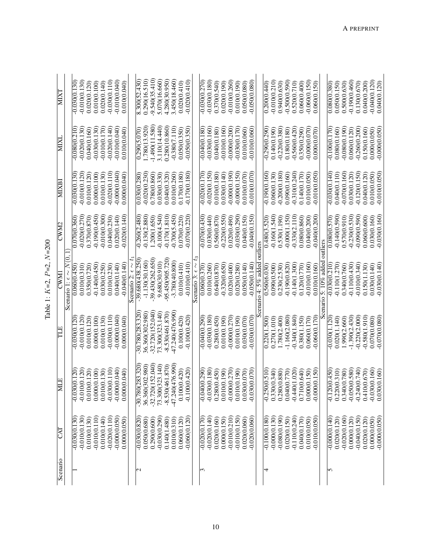| Š                                    |
|--------------------------------------|
| Ì<br>$\mathcal{L}_{\mathsf{I}}$<br>p |
| ı<br>Ò<br>ı                          |
|                                      |
| Ē                                    |

| Scenario      | CAT             | E<br>囩                       | TLE               | CWM                               | CWM2            | MIXBI           | MIXI             | <b>MIXT</b>               |
|---------------|-----------------|------------------------------|-------------------|-----------------------------------|-----------------|-----------------|------------------|---------------------------|
|               |                 |                              |                   | Scenario 1: $\epsilon \sim N(0)$  |                 |                 |                  |                           |
|               | $-0.030(0.130)$ | $-0.030(0.120)$              | $-0.030(0.120$    | 0.060(0.450                       | 0.070(0.360)    | $-0.030(0.130)$ | $-0.080(0.210)$  | $-0.030(0.130)$           |
|               | $-0.010(0.130)$ | $-0.010(0.120)$              | $-0.010(0.120)$   | 0.010(0.310)                      | $-0.020(0.270)$ | $-0.010(0.120)$ | $-0.020(0.130)$  | $-0.010(0.130)$           |
|               | 0.010(0.130)    | 0.010(0.120)                 | 0.010(0.120)      | 0.350(0.720)                      | 0.370(0.870)    | 0.010(0.120)    | 0.040(0.160)     | 0.020(0.120)              |
|               | $-0.010(0.110)$ | 0.000(0.100)                 | 0.000(0.100)      | $-0.140(0.450)$                   | $-0.190(0.450)$ | 0.000(0.100)    | $-0.030(0.130)$  | 0.010(0.100)              |
|               | 0.010(0.140)    | 0.010(0.130)                 | 0.010(0.130)      | 0.030(0.250)                      | $-0.010(0.300)$ | 0.010(0.130)    | $-0.010(0.170)$  | 0.020(0.140)              |
|               | $-0.020(0.110)$ | $-0.030(0.110)$              | $-0.030(0.110)$   | 0.010(0.230)                      | 0.040(0.230)    | $-0.020(0.110)$ | $-0.020(0.140)$  | $-0.030(0.110)$           |
|               | $-0.000(0.050)$ | $-0.000000040$               | $-0.000000040$    | 0.04000.140                       | 0.020(0.140)    | $-0.00000000$   | $-0.010(0.040)$  | $-0.010(0.040)$           |
|               | 0.000(0.050)    | 0.040<br>0.000(              | 0.00000.040       | $-0.040(0.140)$                   | $-0.020(0.140)$ | 0.000(0.040)    | 0.010(0.040)     | 0.010(0.040)              |
|               |                 |                              |                   | Scenario 2: $\epsilon \sim t_1$   |                 |                 |                  |                           |
| $\mathcal{C}$ | $-0.030(0.820)$ | 283.320<br>$-30.780($        | $-30.780(283.320$ | $-39.680(438.250)$                | $-0.260(2.480)$ | 0.030(0.280)    | 0.290(5.070)     | 8.300(52.430)             |
|               | 0.050(0.680)    | 36.360(302.980)              | 36.360(302.980)   | $-1.130(30.160)$                  | $-0.130(2.880)$ | $-0.020(0.230)$ | 1.780(13.920)    | 0.290(16.510)             |
|               | 0.290(0.600)    | 152.040)<br>$-32.720($       | 32.720(152.040)   | $-39.430(262.650)$                | 1.200(1.650)    | 0.780(0.860)    | $-1.490(11.580)$ | $-9.540(35.410)$          |
|               | $-0.030(0.290)$ | 73.300(323.140)              | 73.300(323.140    | 9.680(30.910)                     | $-0.100(4.540)$ | 0.030(0.330)    | 3.110(14.440)    | 5.070(16.660)             |
|               | 0.140(1.480)    | $-8.530(461.870)$            | $-8.530(461.870)$ | 95.450(905.720)                   | $-0.170(1.810)$ | 0.040(0.320)    | 0.280(10.860)    | 4.280(30.950)             |
|               | 0.010(0.310)    | -47.240(476.990)             | 47.240(476.990)   | $-3.780(40.800)$                  | $-0.700(5.450)$ | 0.010(0.260)    | $-0.380(7.110)$  | 3.450(18.460)             |
|               | 0.060(0.120)    | 0.100(0.420)                 | 0.100(0.420)      | 0.010(0.410)                      | 0.070(0.220)    | 0.17000.1800    | 0.050(0.350)     | 0.020(0.410)              |
|               | $-0.060(0.120)$ | $-0.100(0.420)$              | $-0.100(0.420)$   | $-0.010(0.410)$                   | $-0.070(0.220)$ | $-0.170(0.180)$ | $-0.050(0.350)$  | $-0.020(0.410)$           |
|               |                 |                              |                   | Scenario 3: $\epsilon \sim$       |                 |                 |                  |                           |
| ς             | 0.020(0.170)    | $-0.040(0.290)$              | $-0.040(0.290)$   | 0.060(0.370)                      | $-0.070(0.430)$ | $-0.020(0.170)$ | $-0.040(0.180)$  | $-0.030(0.270)$           |
|               | $-0.020(0.140)$ | $-0.030(0.180)$              | $-0.030(0.180)$   | 0.010(0.260)                      | 0.030(0.440)    | $-0.020(0.150)$ | $-0.030(0.160)$  | $-0.030(0.180)$           |
|               | 0.020(0.160)    | 0.280(0.450)                 | 0.280(0.450)      | 0.640(0.870)                      | 0.560(0.870)    | 0.010(0.180)    | 0.040(0.180)     | 0.370(0.540)              |
|               | 0.000(0.150)    | 0.010(0.190)                 | 0.010(0.190)      | $-0.320(0.650)$                   | $-0.220(0.550)$ | 0.030(0.140)    | $-0.010(0.160)$  | 0.020(0.190)              |
|               | $-0.010(0.210)$ | $-0.000(0.270)$              | $-0.00000270$     | 0.020(0.400)                      | 0.020(0.490)    | $-0.00000.190$  | $-0.000(0.200)$  | $-0.010(0.260)$           |
|               | $-0.010(0.150)$ | 0.010(0.190)                 | 0.010(0.190)      | 0.020(0.280)                      | $-0.030(0.290)$ | $-0.00000.150$  | $-0.030(0.170)$  | 0.010(0.190)              |
|               | 0.020(0.060)    | 0.070<br>0.030(              | 0.030(0.070)      | 0.05000.140)                      | 0.040(0.150)    | 0.010(0.070)    | 0.010(0.060)     | 0.050(0.080)              |
|               | $-0.020(0.060)$ | $-0.030(0.070)$              | $-0.030(0.070)$   | $-0.050(0.140)$                   | $-0.040(0.150)$ | $-0.010(0.070)$ | $-0.010(0.060)$  | $-0.050(0.080)$           |
|               |                 |                              |                   | enario 4: $5\%$ added             | outliers        |                 |                  |                           |
| 4             | $-0.100(0.180)$ | $-0.250(0.510)$              | 0.220(1.500)      | 0.560(6.030                       | 0.480(3.520)    | $-0.190(0.160)$ | $-0.290(0.290)$  | $\overline{0.200(0.440)}$ |
|               | $-0.000(0.130)$ | 0.330(0.340)                 | 0.270(1.010)      | 0.090(0.500)                      | $-0.160(1.540)$ | 0.060(0.130)    | 0.140(0.190)     | $-0.010(0.210)$           |
|               | $-0.080(0.190)$ | 0.280(0.880)                 | 1.780(2.400)      | 0.230(2.530)                      | 0.530(1.190)    | $-0.200(0.180)$ | $-0.220(0.380)$  | 0.940(0.630)              |
|               | 0.020(0.150)    | 0.040(0.770)                 | $-1.160(2.080)$   | $-0.190(0.820)$                   | $-0.000(1.150)$ | 0.090(0.160)    | 0.180(0.180)     | $-0.500(0.590)$           |
|               | $-0.110(0.240)$ | $-0.440(1.020)$              | $-0.340(1.840)$   | $-0.140(1.300)$                   | $-0.330(2.110)$ | $-0.310(0.240)$ | $-0.560(0.420)$  | 0.520(0.710)              |
|               | 0.040(0.170)    | 0.710(0.640)                 | 0.380(1.150)      | 0.120(0.770)                      | 0.080(0.860)    | 0.140(0.170)    | 0.350(0.290)     | 0.06000.400               |
|               | 0.010(0.050)    | $0.150^{\circ}$<br>0.000(    | 0.06000.170       | $-0.010(0.160)$                   | 0.040(0.200)    | 0.010(0.050)    | $-0.000(0.070)$  | $-0.060(0.150)$           |
|               | $-0.010(0.050)$ | 0.150<br>$-0.000($           | 0.060(0.170)      | 0.010(0.160)                      | $-0.040(0.200)$ | $-0.010(0.050)$ | 0.00000.070      | 0.060(0.150)              |
|               |                 |                              |                   | 5: $10\%$ added<br>$\overline{a}$ | outliers        |                 |                  |                           |
| 5             | $-0.00000140$   | $-0.120(0.450)$              | $-0.030(1.120)$   | $-0.030(0.210)$                   | 0.080(0.570)    | $-0.030(0.140)$ | $-0.100(0.170)$  | 0.080(0.380)              |
|               | 0.020(0.120)    | 0.220(0.310)                 | 0.020(1.140)      | $-0.110(1.270)$                   | $-0.140(0.590)$ | 0.040(0.110)    | 0.080(0.160)     | 0.050(0.150)              |
|               | $-0.020(0.160)$ | 0.340(0.780)                 | 1.990(2.660)      | 0.340(0.760)                      | 0.570(0.910)    | $-0.070(0.160)$ | $-0.080(0.190)$  | 0.500(0.630)              |
|               | 0.000(0.120)    | $-0.050(0.580)$              | $-1.390(2.430)$   | $-0.110(0.430)$                   | $-0.230(0.530)$ | 0.030(0.120)    | 0.060(0.120)     | $-0.190(0.460)$           |
|               | $-0.040(0.150)$ | $-0.240(0.740)$              | $-0.220(2.000)$   | $-0.010(0.340)$                   | $-0.090(0.590)$ | $-0.120(0.150)$ | $-0.260(0.200)$  | 0.130(0.670)              |
|               | 0.020(0.120)    | 0.410(0.670)                 | $-0.580(1.910)$   | 0.150(1.130)                      | 0.060(0.600)    | 0.040(0.120)    | 0.150(0.160)     | 0.040(0.200)              |
|               | 0.000(0.050)    | $-0.030(0.160)$              | 0.070(0.080)      | 0.030(0.140)                      | 0.030(0.160)    | 0.010(0.050)    | 0.000(0.050)     | $-0.040(0.120)$           |
|               | $-0.000(0.050)$ | $\overline{0.160}$<br>0.030( | $-0.070(0.080)$   | $-0.030(0.140)$                   | $-0.030(0.160)$ | $-0.010(0.050)$ | $-0.000(0.050)$  | 0.040(0.120)              |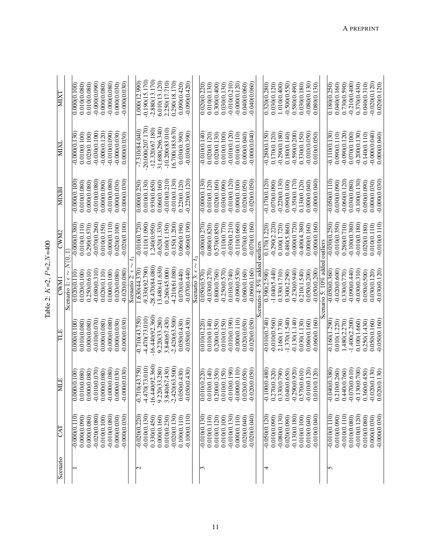| ă          |
|------------|
| ı          |
|            |
| <u>ીં,</u> |
| ά          |
|            |
| ાં<br>IJ   |
| ŗ<br>⊴     |
|            |
|            |
|            |
| rable      |
|            |

| Scenario                | CAT             | <b>MLE</b>                | TПЕ               | CWM                           | CWM2            | MIXBI           | MIXI              | <b>MIXT</b>      |
|-------------------------|-----------------|---------------------------|-------------------|-------------------------------|-----------------|-----------------|-------------------|------------------|
|                         |                 |                           |                   | Scenario 1: $\epsilon \sim N$ |                 |                 |                   |                  |
|                         | $-0.00000110$   | 0.000(0.100)              | 0.00000.100       | 0.020(0.110                   | $-0.00000.380$  | $-0.000(0.100)$ | $-0.00000.130$    | 0.00000.100      |
|                         | 0.000(0.090)    | 0.010(0.080)              | 0.010(0.080       | 0.020(0.100)                  | 0.010(0.110)    | 0.010(0.080)    | 0.010(0.100)      | 0.010(0.080)     |
|                         | 0.000(0.080)    | 0.000(0.080)              | 0.000(0.080)      | 0.250(0.610)                  | 0.290(0.570)    | 0.00000.080     | 0.020(0.100)      | 0.010(0.080)     |
|                         | $-0.020(0.080)$ | $-0.010(0.070)$           | $-0.010(0.070)$   | $-0.080(0.310)$               | $-0.070(0.260)$ | $-0.010(0.080)$ | $-0.030(0.100)$   | $-0.00000.090$   |
|                         | 0.010(0.100)    | 0.000(0.080)              | 0.000(0.080)      | 0.020(0.110)                  | 0.010(0.150)    | 0.000(0.090)    | $-0.00000.120$    | 0.000(0.080)     |
|                         | $-0.010(0.080)$ | $-0.000(0.080)$           | $-0.000(0.080)$   | 0.000(0.100)                  | $-0.00000.110$  | $-0.010(0.080)$ | $-0.010(0.090)$   | $-0.000(0.080)$  |
|                         | 0.000(0.030)    | 0.000(0.030)              | 0.00000.030       | 0.020(0.080)                  | 0.020(0.100)    | 0.000(0.030)    | $-0.000(0.030)$   | 0.000(0.030)     |
|                         | $-0.000(0.030)$ | $-0.000(0.030)$           | $-0.00000030$     | $-0.020(0.080)$               | $-0.020(0.100)$ | $-0.000(0.030)$ | 0.000(0.030)      | $-0.000(0.030)$  |
|                         |                 |                           |                   | Scenario 2: $\epsilon$        |                 |                 |                   |                  |
| $\overline{\mathsf{c}}$ | $-0.020(0.220)$ | $-0.710(43.750)$          | $-0.710(43.750)$  | 1.630(44.370)                 | $-0.010(0.720)$ | 0.00000.230     | $-7.310(84.040)$  | 1.000(12.990)    |
|                         | $-0.010(0.130)$ | $-4.470(73.010)$          | $-4.470(73.010)$  | $-9.330(92.790)$              | 0.110(1.090)    | 0.010(0.130)    | 20.000(207.170)   | $-0.190(15.170)$ |
|                         | 0.330(0.450)    | $-16.440(92.360)$         | $-16.440(92.360)$ | 28.470(84.080)                | 1.240(0.950)    | 0.93000.650     | $-12.320(67.180)$ | $-2.880(13.170)$ |
|                         | 0.000(0.160)    | 9.220(33.280)             | 9.220(33.280)     | 13.480(41.630)                | $-0.620(1.330)$ | 0.06000.160     | 31.680(296.340)   | 6.010(13.120)    |
|                         | 0.010(0.230)    | 3.840(67.430)             | 3.840(67.430)     | 0.260(45.000)                 | 0.160(1.150)    | $-0.010(0.210)$ | $-10.200(83.010)$ | 2.250(17.710)    |
|                         | $-0.020(0.130)$ | $-2.420(63.500)$          | $-2.420(63.500)$  | $-4.210(61.080)$              | $-0.150(1.200)$ | $-0.010(0.130)$ | 16.700(183.670)   | 0.290(18.170)    |
|                         | 0.100(0.110)    | 0.050(0.430)              | 0.050(0.430)      | 0.070(0.440)                  | 0.060(0.190)    | 0.220(0.120)    | 0.030(0.390)      | 0.090(0.420)     |
|                         | 0.100(0.110)    | $-0.050(0.430)$           | $-0.050(0.430)$   | $-0.070(0.440)$               | 0.060(0.190)    | $-0.220(0.120)$ | $-0.030(0.390)$   | $-0.090(0.420)$  |
|                         |                 |                           |                   | Scenario 3: $\epsilon$        |                 |                 |                   |                  |
| $\mathfrak{m}$          | $-0.010(0.130)$ | $0.0\overline{10(0.220)}$ | 0.010(0.220       | 0.05000.570)                  | $-0.00000.270$  | $-0.00000.130$  | $-0.010(0.140)$   | 0.020(0.220)     |
|                         | 0.010(0.110)    | 0.010(0.140)              | 0.010(0.140)      | $-0.030(0.270)$               | 0.080(0.820)    | 0.010(0.120)    | 0.020(0.120)      | 0.010(0.130)     |
|                         | 0.010(0.120)    | 0.200(0.350)              | 0.200(0.350)      | 0.800(0.760)                  | 0.570(0.850)    | 0.020(0.160)    | 0.020(0.130)      | 0.300(0.400)     |
|                         | 0.010(0.100)    | 0.010(0.150)              | 0.010(0.150)      | $-0.250(0.570)$               | $-0.110(0.770)$ | 0.030(0.090)    | 0.010(0.100)      | 0.030(0.130)     |
|                         | $-0.010(0.130)$ | $-0.010(0.190)$           | $-0.010(0.190)$   | 0.010(0.740)                  | $-0.030(0.210)$ | $-0.010(0.120)$ | $-0.010(0.120)$   | $-0.010(0.210)$  |
|                         | 0.000(0.110)    | $-0.00000.110$            | $-0.00000.110$    | $-0.090(0.530)$               | $-0.110(0.660)$ | 0.000(0.100)    | 0.010(0.110)      | $-0.000(0.120)$  |
|                         | 0.020(0.040)    | 0.020(0.050)              | 0.020(0.050)      | 0.060(0.160)                  | 0.070(0.160)    | 0.020(0.050)    | 0.00000.040)      | 0.040(0.060)     |
|                         | $-0.020(0.040)$ | 0(0.050)<br>$-0.02$       | $-0.020(0.050)$   | $-0.060(0.160)$               | $-0.070(0.160)$ | $-0.020(0.050)$ | $-0.00000000$     | $-0.040(0.060)$  |
|                         |                 |                           |                   | enario 4: $5\%$ add           | outliers        |                 |                   |                  |
| 4                       | $-0.050(0.120)$ | $-0.100(0.480)$           | $-0.010(0.740)$   | 0.390(2.590)                  | 0.170(1.220)    | $-0.170(0.120)$ | $-0.280(0.150)$   | 0.320(0.280)     |
|                         | 0.010(0.090)    | 0.270(0.320)              | $-0.010(0.560)$   | $-1.040(5.440)$               | $-0.290(2.220)$ | 0.070(0.090)    | 0.17000.120       | 0.030(0.120)     |
|                         | $-0.080(0.130)$ | 0.330(0.790)              | 2.160(1.730)      | 0.330(1.710)                  | 0.100(1.720)    | $-0.220(0.130)$ | $-0.290(0.180)$   | 1.010(0.400)     |
|                         | 0.020(0.090)    | 0.040(0.650)              | $-1.370(1.540)$   | 0.300(2.290)                  | 0.480(5.860)    | 0.090(0.100     | 0.180(0.140)      | $-0.500(0.550)$  |
|                         | $-0.130(0.180)$ | $-0.290(0.920)$           | $-0.130(1.140)$   | $-0.230(0.940)$               | $-0.00000720$   | $-0.350(0.170)$ | $-0.590(0.200)$   | 0.580(0.490)     |
|                         | 0.010(0.100)    | 0.570(0.610)              | 0.030(1.130)      | 0.210(1.540)                  | $-0.400(4.380)$ | 0.130(0.120)    | 0.330(0.150)      | 0.030(0.180)     |
|                         | 0.010(0.040)    | $-0.010(0.120)$           | 0.06000.160       | 0.050(0.200)                  | 0.00000.160     | 0.00000.040     | $-0.010(0.050)$   | $-0.080(0.130)$  |
|                         | 0.010(0.040)    | 0.010(0.120)              | $-0.060(0.160)$   | $-0.050(0.200)$               | $-0.000(0.160)$ | 0.000000000     | 0.010(0.050)      | 0.080(0.130      |
|                         |                 |                           |                   | cenario 5: $10\%$ add         | outliers        |                 |                   |                  |
| 5                       | $-0.010(0.110)$ | $-0.040(0.380)$           | $-0.160(1.290)$   | $-0.050(0.360)$               | $-0.030(0.250)$ | $-0.050(0.110)$ | $-0.110(0.130)$   | 0.180(0.250)     |
|                         | 0.010(0.090)    | 0.210(0.260)              | 0.010(1.220)      | $-0.020(0.600$                | $-0.010(0.350)$ | 0.030(0.090)    | 0.090(0.110)      | 0.040(0.160)     |
|                         | $-0.010(0.110)$ | 0.440(0.760)              | 1.480(2.270)      | 0.330(0.770)                  | 0.280(0.710)    | $-0.060(0.120)$ | $-0.090(0.120)$   | 0.730(0.590)     |
|                         | 0.010(0.080)    | $-0.070(0.610)$           | $-1.400(2.200)$   | $-0.09000440$                 | $-0.100(0.380)$ | 0.030(0.080)    | 0.070(0.100)      | $-0.210(0.400)$  |
|                         | $-0.010(0.120)$ | $-0.130(0.700)$           | 0.100(1.660)      | $-0.030(0.310)$               | $-0.010(0.180)$ | $-0.100(0.130)$ | $-0.200(0.130)$   | 0.370(0.430)     |
|                         | 0.010(0.080)    | 0.360(0.450)              | 0.250(1.430)      | 0.05000.500                   | 0.020(0.180)    | 0.050(0.090)    | 0.140(0.110)      | 0.040(0.310)     |
|                         | 0.000(0.030)    | $-0.020(0.130)$           | 0.050(0.160)      | 0.030(0.120)                  | 0.01000.110     | 0.00000.030     | $-0.00000000$     | $-0.020(0.120)$  |
|                         | $-0.000(0.030)$ | 0(0.130)<br>0.020         | $-0.050(0.160)$   | $-0.030(0.120)$               | $-0.010(0.110)$ | $-0.00000030$   | 0.000(0.040)      | 0.020(0.120)     |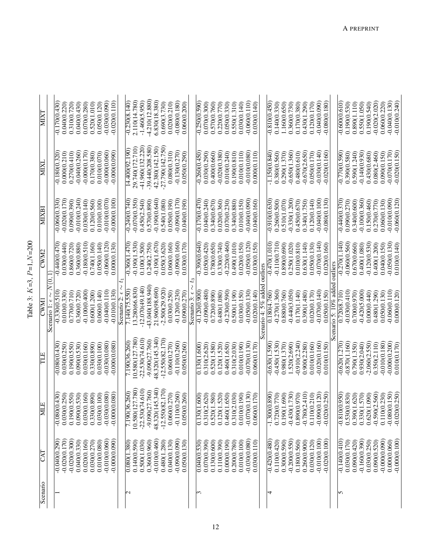| Scenario | KD                              | 闫                                        | ΗH                             | Š                               | CWM2                            | MIXB                           | NIX                             | ΜХΙ                             |
|----------|---------------------------------|------------------------------------------|--------------------------------|---------------------------------|---------------------------------|--------------------------------|---------------------------------|---------------------------------|
|          |                                 |                                          |                                | Scenario 1: $\epsilon \sim N(0$ |                                 |                                |                                 |                                 |
|          | $-0.040(0.290)$                 | 1,430)<br>$-0.080($                      | $-0.080(0.430)$                | $-0.330(0.510)$                 | $-0.440(0.470)$                 | $-0.060(0.330)$                | $-0.180(0.320)$                 | $-0.170(0.430)$                 |
|          | $-0.020(0.170)$                 | 0.030(0.250)                             | 0.030(0.250)                   | 0.010(0.330)                    | 0.030(0.440)                    | $-0.020(0.170)$                | 0.00000.210                     | 0.040(0.220)                    |
|          | $-0.020(0.300)$                 | .550)<br>0.190(0.                        | 0.190(0.550)                   | 0.770(0.710)                    | 0.860(0.720)                    | 0.090(0.390)                   | 0.270(0.410)                    | 0.310(0.720)                    |
|          | 0.040(0.330)                    | .530)<br>0.090(0.                        | 0.090(0.530)                   | 0.360(0.720)                    | 0.360(0.880)                    | $-0.010(0.240)$                | $-0.040(0.260)$                 | 0.040(0.430)                    |
|          | 0.020(0.160)                    | 0.030(0.160)                             | 0.030(0.160)                   | $-0.100(0.400)$                 | $-0.180(0.510)$                 | 0.030(0.140)                   | $-0.000(0.170)$                 | 0.070(0.280)                    |
|          | 0.030(0.270)                    | 0.330(0.890)                             | 0.330(0.890)                   | 0.600(1.200)                    | 0.740(1.160)                    | 0.120(0.560)                   | 0.170(0.380)                    | 0.520(1.010)                    |
|          | 0.010(0.080)                    | 0.030(0.100)                             | 0.030(0.100)                   | 0.06000.140)                    | 0.050(0.140)                    | 0.010(0.100)                   | 0.010(0.070)                    | 0.050(0.120)                    |
|          | $-0.010(0.060)$                 | 080<br>$-0.030(0)$                       | $-0.030(0.080)$                | $-0.040(0.110)$                 | $-0.060(0.120)$                 | $-0.010(0.070)$                | $-0.000(0.060)$                 | $-0.030(0.090)$                 |
|          | $-0.000(0.090)$                 | $-0.000(0.080)$                          | $-0.000(0.080$                 | $-0.010(0.130)$                 | 0.000(0.130)                    | $-0.000(0.100)$                | $-0.000(0.090$                  | $-0.020(0.110)$                 |
|          |                                 |                                          |                                | Scenario 2: $\epsilon$          |                                 |                                |                                 |                                 |
| 2        | 0.080(1.380)                    | 7.190(36.260)                            | 7.190(36.260)                  | 7.140(75.550)                   | $-0.360(1.470)$                 | $-0.240(0.740)$                | 14.400(92.190)                  | $-0.230(8.140)$                 |
|          | 0.140(0.590)                    | 10.580(127.780)                          | 10.580(127.780)                | 13.280(66.830)                  | $-0.190(1.530)$                 | $-0.070(0.350)$                | 29.740(172.710)                 | 2.110(14.780)                   |
|          | 0.500(1.030)                    | $-22.530(74.610)$                        | $-22.530(74.610)$              | $-12.070(49.140)$               | 0.100(3.500)                    | 0.450(2.540)                   | -41.960(132.220)                | $-1.460(5.950)$                 |
|          | 0.360(0.960)                    | $-9.090(27.760)$                         | $-9.090(27.760)$               | 43.040(188.940)                 | 0.240(2.750)                    | 0.570(0.890)                   | $-39.440(208.580)$              | $-4.210(12.880)$                |
|          | $-0.010(0.460)$                 | 48.320(145.340)                          | 48.320(145.340)                | 21.960(98.690)                  | $-0.190(1.670)$                 | $-0.190(0.640)$                | 42.380(142.150)                 | 6.830(18.380)                   |
|          | 0.480(1.280)                    | $-12.550(82.170)$                        | $-12.550(82.170)$              | 2.500(29.920)                   | 0.050(3.620)                    | 0.540(1.080)                   | $-27.790(142.750)$              | 0.690(3.730)                    |
|          | 0.040(0.130)                    | 0.060(0.270)                             | 0.060(0.270)                   | 0.030(0.250)                    | 0.060(0.160)                    | 0.050(0.190)                   | 0.080(0.310)                    | 0.020(0.210)                    |
|          | $-0.090(0.090)$<br>0.050(0.130) | 1.260)<br>0.050(0.260)<br>$-0.110(0)$    | $-0.110(0.260)$<br>0.05000.260 | $-0.120(0.230)$<br>0.090(0.270) | $-0.090(0.160)$<br>0.030(0.170) | $-0.090(0.170)$<br>0.040(0.190 | $-0.130(0.270)$<br>0.050(0.290) | $-0.080(0.180)$<br>0.060(0.200) |
|          |                                 |                                          |                                |                                 |                                 |                                |                                 |                                 |
|          |                                 |                                          |                                | Scenario 3: $\epsilon$          |                                 |                                |                                 |                                 |
| 3        | 0.040(0.530)                    | $\frac{600}{500}$<br>$\frac{130(1)}{20}$ | 0.130(1.600)                   | $-0.120(0.900)$                 | $-0.390(0.640)$                 | $-0.170(0.470)$                | $-0.260(0.450)$                 | $-0.250(0.590)$                 |
|          | 0.070(0.390)                    | <b>620</b><br>0.310(2)                   | 0.310(2.620)                   | $-0.090(0.480)$                 | 0.050(0.420)                    | 0.040(0.240)                   | 0.030(0.290)                    | 0.070(0.300)                    |
|          | 0.130(0.600)                    | .580)<br>0.520(1                         | 0.520(1.580)                   | 0.720(0.890)                    | 0.780(0.650)                    | 0.340(0.670)                   | 0.400(0.660)                    | 0.570(0.760)                    |
|          | 0.110(0.390)                    | .520)<br>0.120(1.                        | 0.120(1.520)                   | 0.480(1.080)                    | 0.330(0.740)                    | 0.020(0.360)                   | $-0.020(0.380)$                 | 0.220(0.770)                    |
|          | 0.000(0.190)                    | .650)<br>0.460(1.                        | 0.460(1.650)                   | $-0.230(0.590)$                 | $-0.220(0.460)$                 | 0.070(0.230)                   | 0.010(0.240)                    | 0.050(0.330)                    |
|          | 0.200(0.780)                    | 0.310(2.030)                             | 0.310(2.030)                   | 0.500(1.190)                    | 0.490(1.010)                    | 0.340(0.880)                   | 0.190(0.810)                    | 0.550(1.310)                    |
|          | 0.010(0.100)                    | 0.010(0.190)                             | 0.010(0.190)                   | 0.030(0.150)                    | 0.020(0.150)                    | 0.010(0.150)                   | 0.010(0.110)                    | 0.030(0.140)                    |
|          | $-0.030(0.080)$                 | 130)<br>$-0.070(0)$                      | $-0.070(0.130)$                | $-0.050(0.130)$                 | $-0.050(0.120)$                 | $-0.040(0.090)$                | $-0.010(0.080)$                 | $-0.060(0.110)$                 |
|          | 0.030(0.110)                    | 0.060(0.170)                             | 0.060(0.170                    | 0.020(0.140)                    | 0.030(0.150)                    | 0.040(0.160)                   | 0.000(0.110)                    | 0.030(0.140                     |
|          |                                 |                                          |                                | Scenario 4: $5%$ added          | outliers                        |                                |                                 |                                 |
|          | $-0.420(0.480)$                 | ,890)<br>$-1.3000$                       | $-0.630(1.590)$                | 0.180(4.760)                    | $-0.470(1.010$                  | $-0.910(0.630)$                | $-1.150(0.840)$                 | $-0.810(0.450)$                 |
|          | 0.110(0.420)                    | 0.720(0.770)                             | $-0.450(1.530)$                | $-0.270(1.360)$                 | $-0.110(0.710)$                 | 0.260(0.500)                   | 0.380(0.560)                    | 0.140(0.330)                    |
|          | 0.300(0.590)                    | 0.190(1.690)                             | 0.980(1.370)                   | 0.880(0.760)                    | 0.890(0.690)                    | 0.510(1.070)                   | 0.290(1.370)                    | 1.160(0.650)                    |
|          | $-0.200(0.550)$                 | $-0.430(1.730)$                          | 1.520(2.690)                   | $-0.440(3.050)$                 | 0.250(1.020)                    | $-0.330(1.200)$                | $-0.650(1.360)$                 | 0.360(0.730)                    |
|          | 0.180(0.560)                    | 0.890(0.970)                             | $-0.910(2.240)$                | 0.170(1.140)                    | 0.010(0.810)                    | 0.450(0.670)                   | 0.480(0.610)                    | 0.170(0.380)                    |
|          | 0.260(0.900)                    | (014.1)<br>$-0.780(2)$                   | 0.900(2.280)                   | 0.390(1.480)                    | 0.630(1.140)                    | 0.340(1.750)                   | $-0.670(2.650)$                 | 0.430(1.290)                    |
|          | 0.030(0.120)                    | 0.110(0.210)                             | 0.010(0.160)                   | 0.020(0.170)                    | 0.050(0.130)                    | 0.120(0.140)                   | 0.050(0.170)                    | 0.120(0.170)                    |
|          | $-0.010(0.100)$                 | 0.120<br>$-0.090(0)$                     | $-0.020(0.160)$                | $-0.070(0.140)$                 | $-0.070(0.140)$                 | $-0.040(0.100)$                | $-0.030(0.140)$                 | $-0.040(0.090)$                 |
|          | $-0.020(0.100)$                 | $-0.020(0.250)$                          | 0.010(0.150                    | 0.050(0.150)                    | 0.020(0.160)                    | $-0.080(0.130)$                | $-0.020(0.160)$                 | $-0.080(0.180)$                 |
|          |                                 |                                          |                                | cenario 5: $10\%$ add           | outliers                        |                                |                                 |                                 |
| 5        | $-0.140(0.410)$                 | $\frac{1950}{250}$<br>$-0.810(0)$        | $-0.620(1.270)$                | 0.720(8.710)                    | $-0.270(1.140)$                 | $-0.440(0.370)$                | $-0.770(0.590)$                 | $-0.600(0.610)$                 |
|          | 0.030(0.170)                    | 0.530(0.830)                             | $-0.870(1.160)$                | $-0.030(0.410)$                 | $-0.060(0.560)$                 | 0.090(0.270)                   | 0.390(0.580)                    | 0.190(0.530)                    |
|          | 0.090(0.420)                    | (620)<br>0.390(1.                        | 0.790(1.350)                   | 0.700(0.970)                    | 0.670(0.660)                    | 0.340(0.600)                   | 0.590(1.240)                    | 0.890(1.110)                    |
|          | $-0.160(0.390)$                 | 0.330(1.570)                             | 0.930(2.040)                   | $-0.420(5.000)$                 | 0.400(1.080)                    | $-0.100(0.360)$                | $-0.140(0.930)$                 | 0.550(1.050)                    |
|          | 0.030(0.250)                    | 0.620(1.090)                             | $-2.060(2.550)$                | 0.00000440                      | $-0.120(0.530)$                 | 0.150(0.460)                   | 0.430(0.680)                    | 0.190(0.540)                    |
|          | 0.090(0.520)                    | .560<br>$-0.590(2)$                      | 0.350(2.110)                   | 0.480(1.290)                    | 0.400(1.200)                    | 0.270(0.770)                   | 0.080(2.460)                    | $-0.020(2.020)$                 |
|          | $-0.000(0.090)$                 | 0.110(0.230)                             | $-0.010(0.180)$                | 0.05000.1301                    | 0.040(0.150)                    | 0.060(0.130)                   | 0.090(0.150)                    | 0.060(0.220)                    |
|          | 0.000(0.060)                    | 150<br>$-0.080(0)$                       | $-0.000(0.200)$                | $-0.060(0.110)$                 | $-0.050(0.130)$                 | $-0.010(0.090)$                | $-0.070(0.170)$                 | $-0.040(0.130)$                 |
|          | $-0.000(0.100)$                 | (250)<br>$-0.020(0)$                     | 0.010(0.170)                   | 0.000(0.120)                    | 0.010(0.140)                    | $-0.060(0.120)$                | $-0.020(0.150)$                 | $-0.010(0.240)$                 |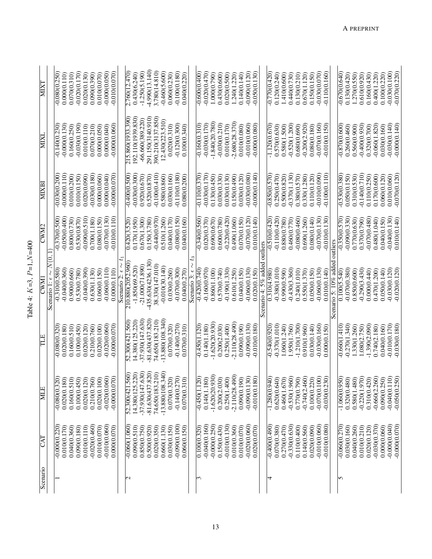| Scenario          | CAT                        | MLE                | ПE                 | <b>EXN</b>                       | CWM2            | MIXB            | NIXI               | MIXT            |
|-------------------|----------------------------|--------------------|--------------------|----------------------------------|-----------------|-----------------|--------------------|-----------------|
|                   |                            |                    |                    | Scenario 1: $\epsilon \sim N(C)$ |                 |                 |                    |                 |
|                   | $-0.000(0.220)$            | $-0.080(0.320)$    | $-0.080(0.320)$    | $-0.310(0.580)$                  | $-0.370(0.500)$ | $-0.030(0.200)$ | $-0.140(0.230)$    | $-0.080(0.250)$ |
|                   | 0.010(0.170)               | 0.020(0.180)       | 0.020(0.180)       | $-0.040(0.360)$                  | $-0.050(0.400)$ | $-0.00000.110$  | $-0.00000130$      | 0.00000.110     |
|                   | 0.040(0.360)               | 0.160(0.510)       | 0.160(0.510)       | 0.900(0.660)                     | 0.800(0.730)    | 0.010(0.200)    | 0.160(0.250)       | 0.070(0.310)    |
|                   | 0.090(0.180)               | 0.100(0.450)       | 0.100(0.450)       | 0.530(0.780)                     | 0.530(0.870)    | 0.010(0.150)    | $-0.030(0.190)$    | $-0.020(0.170)$ |
|                   | 0.010(0.110)               | 0.020(0.120)       | 0.020(0.120)       | $-0.040(0.390)$                  | $-0.090(0.510)$ | 0.020(0.090)    | 0.010(0.110)       | 0.020(0.130)    |
|                   | $-0.020(0.460)$            | 0.210(0.760)       | 0.210(0.760)       | 0.630(1.130)                     | 0.700(1.180)    | $-0.030(0.180)$ | 0.070(0.210)       | 0.090(0.390)    |
|                   | 0.010(0.070)               | 0.020(0.100)       | 0.020(0.100)       | 0.060(0.150)                     | 0.080(0.150)    | 0.000(0.060)    | 0.000(0.050)       | 0.010(0.070)    |
|                   | $-0.010(0.060)$            | $-0.020(0.060)$    | $-0.020(0.060)$    | $-0.060(0.110)$                  | $-0.070(0.130)$ | 0.000(0.040)    | 0.00000000         | $-0.000(0.050)$ |
|                   | 0.000(0.070)               | $-0.00000000$      | $-0.00000000$      | 0.000(0.110)                     | $-0.010(0.110)$ | $-0.000(0.070)$ | $-0.000(0.060)$    | $-0.010(0.070)$ |
|                   |                            |                    |                    | Scenario 2: $\epsilon \sim$      |                 |                 |                    |                 |
| $\mathbf{\Omega}$ | $-0.060(1.060)$            | 52.300(421.560)    | 52.300(421.560)    | 210.880(2052.960)                | 0.420(3.520)    | $-0.400(0.500)$ | 215.860(1933.390)  | 2.760(12.470)   |
|                   | 0.090(0.510)               | 14.380(125.220)    | 14.380(125.220)    | $-1.850(69.520)$                 | 0.170(1.950)    | $-0.030(0.300)$ | 192.110(1939.830)  | 0.430(6.240)    |
|                   | 0.850(0.750)               | $-37.930(147.630)$ | $-37.930(147.630)$ | $-21.000(71.890)$                | 0.670(1.300)    | 0.920(0.670)    | $-66.660(389.220)$ | $-1.250(5.190)$ |
|                   | 0.500(0.920)               | $-81.630(437.820)$ | $-81.630(437.820)$ | 435.630(4236.130)                | 0.150(3.780)    | 0.520(0.870)    | 291.150(3140.910)  | 4.990(13.140)   |
|                   | 0.020(0.350)               | 74.650(183.210)    | 74.650(183.210)    | 38.330(147.010)                  | $-0.440(0.970)$ | $-0.10000410$   | 390.210(3137.850)  | 3.780(14.810)   |
|                   | 0.660(1.130)               | $-13.880(108.340)$ | $-13.880(108.340)$ | $-0.010(30.140)$                 | 0.510(1.260)    | 0.580(0.860)    | 12.430(223.510)    | $-0.460(5.600)$ |
|                   | 0.030(0.150)               | 0.070(0.320)       | 0.070(0.320)       | 0.030(0.260)                     | 0.040(0.170)    | 0.030(0.160)    | 0.020(0.310)       | 0.060(0.230)    |
|                   | $-0.090(0.100)$            | $-0.140(0.270)$    | $-0.140(0.270)$    | $-0.070(0.300)$                  | $-0.080(0.150)$ | $-0.110(0.180)$ | $-0.120(0.300)$    | $-0.100(0.180)$ |
|                   | 0.060(0.150)               | 0.070(0.310)       | 0.070(0.310)       | 0.040(0.270)                     | 0.040(0.160     | 0.080(0.200)    | 0.100(0.340)       | 0.040(0.220)    |
|                   |                            |                    |                    | Scenario 3: $\epsilon$           |                 |                 |                    |                 |
| ↶                 | 0.100(0.320)               | $-0.450(1.120$     | $-0.450(1.120)$    | $-0.420(0.740)$                  | $-0.340(0.560)$ | $-0.110(0.370)$ | $-0.160(0.310)$    | $-0.60000400$   |
|                   | $-0.040(0.160)$            | 0.140(1.180)       | 0.140(1.180)       | $-0.160(0.970)$                  | 0.020(0.370)    | $-0.030(0.170)$ | $-0.030(0.170)$    | $-0.020(0.470)$ |
|                   | $-0.000(0.250)$            | $-1.620(20.930)$   | $-1.620(20.930)$   | 0.860(1.100)                     | 0.690(0.670)    | 0.130(0.450)    | $-1.840(20.780)$   | 1.000(0.790)    |
|                   | 0.150(0.430)               | 0.200(2.030)       | 0.200(2.030)       | 0.570(0.740)                     | 0.600(0.780)    | 0.030(0.330)    | $-0.030(0.210)$    | 0.430(0.600)    |
|                   | $-0.010(0.130)$            | 0.250(1.400)       | 0.250(1.400)       | $-0.190(1.330)$                  | $-0.220(0.420)$ | 0.030(0.130)    | 0.010(0.170)       | 0.020(0.500)    |
|                   | 0.010(0.360)               | $-2.110(28.490$    | $-2.110(28.490)$   | 0.610(1.250)                     | 0.490(1.060)    | 0.150(0.490)    | $-2.680(28.370)$   | 1.240(1.220)    |
|                   | 0.010(0.070)               | 0.090(0.190)       | 0.090(0.190)       | 0.040(0.150)                     | 0.070(0.150)    | 0.030(0.120)    | 0.010(0.080)       | 0.140(0.140)    |
|                   | $-0.020(0.060)$            | $-0.090(0.130)$    | $-0.090(0.130)$    | $-0.060(0.130)$                  | $-0.070(0.120)$ | $-0.030(0.080)$ | $-0.010(0.060)$    | $-0.090(0.120)$ |
|                   | 0.020(0.070)               | $-0.010(0.180)$    | $-0.010(0.180)$    | 0.020(0.150)                     | 0.010(0.140)    | $-0.000(0.140)$ | $-0.000(0.080)$    | $-0.050(0.130)$ |
|                   |                            |                    |                    | Scenario 4: 5% added             | outliers        |                 |                    |                 |
|                   | $-0.\overline{400(0.490)}$ | $-1.280(0.940)$    | $-0.540(0.920)$    | 0.310(4.980)                     | $-0.510(0.420)$ | $-0.850(0.570)$ | $-1.120(0.670)$    | -0.770(0.420    |
|                   | 0.070(0.380)               | 0.620(0.640)       | $-0.370(1.010)$    | $-0.380(1.010)$                  | $-0.110(0.420)$ | 0.250(0.470)    | 0.570(0.630)       | 0.120(0.240)    |
|                   | 0.270(0.470)               | 0.460(1.670)       | 1.060(1.240)       | 0.990(0.590)                     | 0.880(0.780)    | 0.500(0.820)    | 0.580(1.500)       | 1.410(0.600)    |
|                   | $-0.330(0.630)$            | $-0.530(1.960)$    | 1.950(1.760)       | $-0.430(3.360)$                  | 0.460(0.770)    | $-0.370(1.130)$ | $-0.520(1.200)$    | 0.440(0.730)    |
|                   | 0.110(0.400)               | 0.770(0.790)       | $-1.210(1.700)$    | 0.240(1.010)                     | $-0.080(0.460)$ | 0.380(0.570)    | 0.680(0.690)       | 0.130(0.210)    |
|                   | 0.140(0.560)               | $-0.740(2.460)$    | 0.910(1.960)       | 0.550(1.370)                     | 0.690(1.260)    | 0.330(1.280)    | $-0.200(2.920)$    | 0.670(1.120)    |
|                   | 0.020(0.090)               | 0.100(0.220)       | 0.030(0.140)       | 0.050(0.150)                     | 0.080(0.140)    | 0.110(0.120)    | 0.080(0.180)       | 0.150(0.150)    |
|                   | $-0.010(0.060)$            | $-0.070(0.100$     | $-0.030(0.160)$    | $-0.060(0.130)$                  | $-0.070(0.130)$ | $-0.010(0.090)$ | $-0.070(0.160)$    | $-0.030(0.070)$ |
|                   | $-0.010(0.080)$            | $-0.030(0.230)$    | 0.00000.150        | 0.010(0.140)                     | $-0.010(0.130)$ | $-0.10000.110$  | $-0.010(0.150)$    | $-0.110(0.160)$ |
|                   |                            |                    |                    | Scenario 5: 10% add              | outliers        |                 |                    |                 |
| S                 | $-0.060(0.270)$            | $-1.060(0.950)$    | $-0.660(1.410)$    | 0.100(5.540)                     | $-0.350(0.570)$ | $-0.530(0.380)$ | $-0.870(0.600)$    | $-0.670(0.640)$ |
|                   | 0.030(0.160)               | 0.320(0.480)       | $-0.270(1.340)$    | $-0.070(0.380)$                  | $-0.090(0.330)$ | 0.050(0.150)    | 0.260(0.460)       | 0.130(0.420)    |
|                   | 0.040(0.260)               | 0.580(1.480)       | 1.330(1.260)       | 0.850(0.600)                     | 0.770(0.630)    | 0.310(0.530)    | 0.560(0.900)       | 1.270(0.550)    |
|                   | 0.010(0.210)               | $-0.220(1.970)$    | 1.080(2.750)       | $-0.290(3.430)$                  | 0.370(0.790)    | $-0.140(0.710)$ | $-0.400(0.930)$    | 0.610(0.920     |
|                   | 0.020(0.120)               | 0.310(0.420)       | $-1.390(2.090)$    | 0.000(0.440)                     | $-0.070(0.480)$ | 0.110(0.250)    | 0.320(0.700)       | 0.160(0.430)    |
|                   | $-0.030(0.370)$            | $-0.660(2.260)$    | 0.740(2.180)       | 0.470(1.200)                     | 0.480(1.040)    | 0.170(0.600)    | $-0.060(1.820)$    | 0.400(1.220)    |
|                   | 0.000(0.060)               | 0.090(0.250)       | 0.040(0.160)       | 0.050(0.140)                     | 0.040(0.150)    | 0.060(0.120)    | 0.030(0.160)       | 0.100(0.220)    |
|                   | $-0.000(0.040)$            | $-0.040(0.110)$    | $-0.010(0.170)$    | $-0.030(0.120)$                  | $-0.040(0.130)$ | 0.010(0.060)    | $-0.030(0.140)$    | $-0.030(0.100)$ |
|                   | $-0.000(0.070)$            | $-0.050(0.250)$    | $-0.030(0.180)$    | $-0.020(0.120)$                  | 0.010(0.140)    | $-0.070(0.120)$ | $-0.000(0.140)$    | $-0.070(0.220)$ |

Table 4:  $K=3$ ,  $P=1$ ,  $N=400$ 

Table 4:  $K=3$ ,  $P=1, N=400$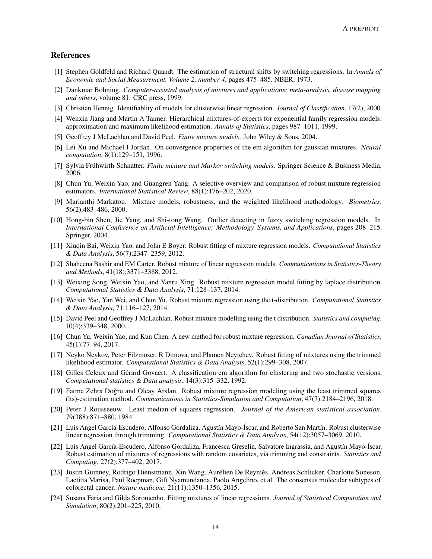## References

- <span id="page-13-0"></span>[1] Stephen Goldfeld and Richard Quandt. The estimation of structural shifts by switching regressions. In *Annals of Economic and Social Measurement, Volume 2, number 4*, pages 475–485. NBER, 1973.
- <span id="page-13-1"></span>[2] Dankmar Böhning. *Computer-assisted analysis of mixtures and applications: meta-analysis, disease mapping and others*, volume 81. CRC press, 1999.
- <span id="page-13-2"></span>[3] Christian Hennig. Identifiablity of models for clusterwise linear regression. *Journal of Classification*, 17(2), 2000.
- <span id="page-13-3"></span>[4] Wenxin Jiang and Martin A Tanner. Hierarchical mixtures-of-experts for exponential family regression models: approximation and maximum likelihood estimation. *Annals of Statistics*, pages 987–1011, 1999.
- <span id="page-13-4"></span>[5] Geoffrey J McLachlan and David Peel. *Finite mixture models*. John Wiley & Sons, 2004.
- <span id="page-13-5"></span>[6] Lei Xu and Michael I Jordan. On convergence properties of the em algorithm for gaussian mixtures. *Neural computation*, 8(1):129–151, 1996.
- <span id="page-13-6"></span>[7] Sylvia Frühwirth-Schnatter. *Finite mixture and Markov switching models*. Springer Science & Business Media, 2006.
- <span id="page-13-7"></span>[8] Chun Yu, Weixin Yao, and Guangren Yang. A selective overview and comparison of robust mixture regression estimators. *International Statistical Review*, 88(1):176–202, 2020.
- <span id="page-13-8"></span>[9] Marianthi Markatou. Mixture models, robustness, and the weighted likelihood methodology. *Biometrics*, 56(2):483–486, 2000.
- <span id="page-13-9"></span>[10] Hong-bin Shen, Jie Yang, and Shi-tong Wang. Outlier detecting in fuzzy switching regression models. In *International Conference on Artificial Intelligence: Methodology, Systems, and Applications*, pages 208–215. Springer, 2004.
- <span id="page-13-10"></span>[11] Xiuqin Bai, Weixin Yao, and John E Boyer. Robust fitting of mixture regression models. *Computational Statistics & Data Analysis*, 56(7):2347–2359, 2012.
- <span id="page-13-11"></span>[12] Shaheena Bashir and EM Carter. Robust mixture of linear regression models. *Communications in Statistics-Theory and Methods*, 41(18):3371–3388, 2012.
- <span id="page-13-12"></span>[13] Weixing Song, Weixin Yao, and Yanru Xing. Robust mixture regression model fitting by laplace distribution. *Computational Statistics & Data Analysis*, 71:128–137, 2014.
- <span id="page-13-13"></span>[14] Weixin Yao, Yan Wei, and Chun Yu. Robust mixture regression using the t-distribution. *Computational Statistics & Data Analysis*, 71:116–127, 2014.
- <span id="page-13-14"></span>[15] David Peel and Geoffrey J McLachlan. Robust mixture modelling using the t distribution. *Statistics and computing*, 10(4):339–348, 2000.
- <span id="page-13-15"></span>[16] Chun Yu, Weixin Yao, and Kun Chen. A new method for robust mixture regression. *Canadian Journal of Statistics*, 45(1):77–94, 2017.
- <span id="page-13-16"></span>[17] Neyko Neykov, Peter Filzmoser, R Dimova, and Plamen Neytchev. Robust fitting of mixtures using the trimmed likelihood estimator. *Computational Statistics & Data Analysis*, 52(1):299–308, 2007.
- <span id="page-13-17"></span>[18] Gilles Celeux and Gérard Govaert. A classification em algorithm for clustering and two stochastic versions. *Computational statistics & Data analysis*, 14(3):315–332, 1992.
- <span id="page-13-18"></span>[19] Fatma Zehra Dogru and Olcay Arslan. Robust mixture regression modeling using the least trimmed squares ˘ (lts)-estimation method. *Communications in Statistics-Simulation and Computation*, 47(7):2184–2196, 2018.
- <span id="page-13-19"></span>[20] Peter J Rousseeuw. Least median of squares regression. *Journal of the American statistical association*, 79(388):871–880, 1984.
- <span id="page-13-20"></span>[21] Luis Angel García-Escudero, Alfonso Gordaliza, Agustín Mayo-Íscar, and Roberto San Martín. Robust clusterwise linear regression through trimming. *Computational Statistics & Data Analysis*, 54(12):3057–3069, 2010.
- <span id="page-13-21"></span>[22] Luis Angel García-Escudero, Alfonso Gordaliza, Francesca Greselin, Salvatore Ingrassia, and Agustín Mayo-Íscar. Robust estimation of mixtures of regressions with random covariates, via trimming and constraints. *Statistics and Computing*, 27(2):377–402, 2017.
- <span id="page-13-22"></span>[23] Justin Guinney, Rodrigo Dienstmann, Xin Wang, Aurélien De Reyniès, Andreas Schlicker, Charlotte Soneson, Laetitia Marisa, Paul Roepman, Gift Nyamundanda, Paolo Angelino, et al. The consensus molecular subtypes of colorectal cancer. *Nature medicine*, 21(11):1350–1356, 2015.
- <span id="page-13-23"></span>[24] Susana Faria and Gilda Soromenho. Fitting mixtures of linear regressions. *Journal of Statistical Computation and Simulation*, 80(2):201–225, 2010.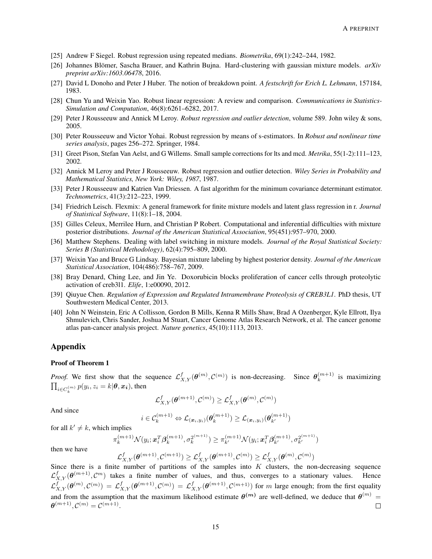- <span id="page-14-0"></span>[25] Andrew F Siegel. Robust regression using repeated medians. *Biometrika*, 69(1):242–244, 1982.
- <span id="page-14-1"></span>[26] Johannes Blömer, Sascha Brauer, and Kathrin Bujna. Hard-clustering with gaussian mixture models. *arXiv preprint arXiv:1603.06478*, 2016.
- <span id="page-14-2"></span>[27] David L Donoho and Peter J Huber. The notion of breakdown point. *A festschrift for Erich L. Lehmann*, 157184, 1983.
- <span id="page-14-3"></span>[28] Chun Yu and Weixin Yao. Robust linear regression: A review and comparison. *Communications in Statistics-Simulation and Computation*, 46(8):6261–6282, 2017.
- <span id="page-14-4"></span>[29] Peter J Rousseeuw and Annick M Leroy. *Robust regression and outlier detection*, volume 589. John wiley & sons, 2005.
- <span id="page-14-5"></span>[30] Peter Rousseeuw and Victor Yohai. Robust regression by means of s-estimators. In *Robust and nonlinear time series analysis*, pages 256–272. Springer, 1984.
- <span id="page-14-6"></span>[31] Greet Pison, Stefan Van Aelst, and G Willems. Small sample corrections for lts and mcd. *Metrika*, 55(1-2):111–123, 2002.
- <span id="page-14-7"></span>[32] Annick M Leroy and Peter J Rousseeuw. Robust regression and outlier detection. *Wiley Series in Probability and Mathematical Statistics, New York: Wiley, 1987*, 1987.
- <span id="page-14-8"></span>[33] Peter J Rousseeuw and Katrien Van Driessen. A fast algorithm for the minimum covariance determinant estimator. *Technometrics*, 41(3):212–223, 1999.
- <span id="page-14-9"></span>[34] Friedrich Leisch. Flexmix: A general framework for finite mixture models and latent glass regression in r. *Journal of Statistical Software*, 11(8):1–18, 2004.
- <span id="page-14-10"></span>[35] Gilles Celeux, Merrilee Hurn, and Christian P Robert. Computational and inferential difficulties with mixture posterior distributions. *Journal of the American Statistical Association*, 95(451):957–970, 2000.
- <span id="page-14-11"></span>[36] Matthew Stephens. Dealing with label switching in mixture models. *Journal of the Royal Statistical Society: Series B (Statistical Methodology)*, 62(4):795–809, 2000.
- <span id="page-14-12"></span>[37] Weixin Yao and Bruce G Lindsay. Bayesian mixture labeling by highest posterior density. *Journal of the American Statistical Association*, 104(486):758–767, 2009.
- <span id="page-14-13"></span>[38] Bray Denard, Ching Lee, and Jin Ye. Doxorubicin blocks proliferation of cancer cells through proteolytic activation of creb3l1. *Elife*, 1:e00090, 2012.
- <span id="page-14-14"></span>[39] Qiuyue Chen. *Regulation of Expression and Regulated Intramembrane Proteolysis of CREB3L1*. PhD thesis, UT Southwestern Medical Center, 2013.
- <span id="page-14-15"></span>[40] John N Weinstein, Eric A Collisson, Gordon B Mills, Kenna R Mills Shaw, Brad A Ozenberger, Kyle Ellrott, Ilya Shmulevich, Chris Sander, Joshua M Stuart, Cancer Genome Atlas Research Network, et al. The cancer genome atlas pan-cancer analysis project. *Nature genetics*, 45(10):1113, 2013.

# Appendix

#### Proof of Theorem 1

*Proof.* We first show that the sequence  $\mathcal{L}_{X,Y}^f(\theta^{(m)}, \mathcal{C}^{(m)})$  is non-decreasing. Since  $\theta_k^{(m+1)}$  $\binom{m+1}{k}$  is maximizing  $\prod_{i \in C^{(m)}_k} p(y_i, z_i = k | \boldsymbol{\theta}, \boldsymbol{x_i}),$  then

$$
\mathcal{L}^f_{X,Y}(\pmb{\theta}^{(m+1)},\mathcal{C}^{(m)})\geq \mathcal{L}^f_{X,Y}(\pmb{\theta}^{(m)},\mathcal{C}^{(m)})
$$

And since

$$
i \in \mathcal{C}_k^{(m+1)} \Leftrightarrow \mathcal{L}_{(\boldsymbol{x}_i, y_i)}(\boldsymbol{\theta}_k^{(m+1)}) \ge \mathcal{L}_{(\boldsymbol{x}_i, y_i)}(\boldsymbol{\theta}_{k'}^{(m+1)})
$$

for all  $k' \neq k$ , which implies

π

$$
_{k}^{(m+1)}\mathcal{N}(y_{i};\boldsymbol{x}_{i}^{T}\boldsymbol{\beta}_{k}^{(m+1)},\sigma_{k}^{2^{(m+1)}}) \geq \pi_{k'}^{(m+1)}\mathcal{N}(y_{i};\boldsymbol{x}_{i}^{T}\boldsymbol{\beta}_{k'}^{(m+1)},\sigma_{k'}^{2^{(m+1)}})
$$

then we have

 $\mathcal{L}^f_{X,Y}(\boldsymbol{\theta}^{(m+1)},\mathcal{C}^{(m+1)})\geq \mathcal{L}^f_{X,Y}(\boldsymbol{\theta}^{(m+1)},\mathcal{C}^{(m)})\geq \mathcal{L}^f_{X,Y}(\boldsymbol{\theta}^{(m)},\mathcal{C}^{(m)})$ Since there is a finite number of partitions of the samples into  $K$  clusters, the non-decreasing sequence  $\mathcal{L}_{X,Y}^f(\theta^{(m+1)},\mathcal{C}^m)$  takes a finite number of values, and thus, converges to a stationary values. Hence  $\mathcal{L}_{X,Y}^f(\theta^{(m)},\mathcal{C}^{(m)}) = \mathcal{L}_{X,Y}^f(\theta^{(m+1)},\mathcal{C}^{(m)}) = \mathcal{L}_{X,Y}^f(\theta^{(m+1)},\mathcal{C}^{(m+1)})$  for m large enough; from the first equality and from the assumption that the maximum likelihood estimate  $\theta^{(m)}$  are well-defined, we deduce that  $\theta^{(m)}$  =  $\boldsymbol{\theta}^{(m+1)}, \mathcal{C}^{(m)} = \mathcal{C}^{(m+1)}.$  $\Box$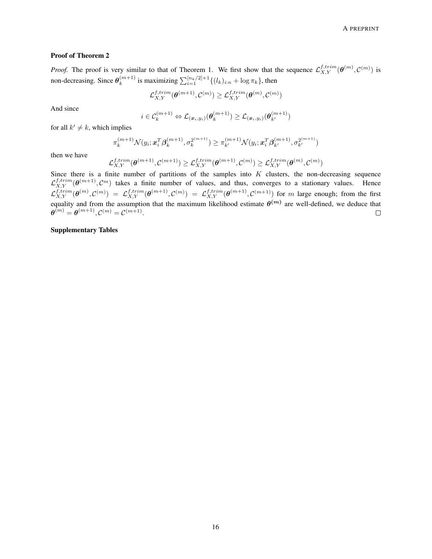#### Proof of Theorem 2

*Proof.* The proof is very similar to that of Theorem 1. We first show that the sequence  $\mathcal{L}_{X,Y}^{f,trim}(\theta^{(m)}, \mathcal{C}^{(m)})$  is non-decreasing. Since  $\theta_k^{(m+1)}$  $\sum_{k}^{(m+1)}$  is maximizing  $\sum_{i=1}^{[n_k/2]+1} \{(l_k)_{i:n} + \log \pi_k\}$ , then

$$
\mathcal{L}_{X,Y}^{f,trim}(\boldsymbol{\theta}^{(m+1)},\mathcal{C}^{(m)})\geq \mathcal{L}_{X,Y}^{f,trim}(\boldsymbol{\theta}^{(m)},\mathcal{C}^{(m)})
$$

And since

$$
i \in C_k^{(m+1)} \Leftrightarrow \mathcal{L}_{(\boldsymbol{x}_i, y_i)}(\boldsymbol{\theta}_k^{(m+1)}) \ge \mathcal{L}_{(\boldsymbol{x}_i, y_i)}(\boldsymbol{\theta}_{k'}^{(m+1)})
$$

for all  $k' \neq k$ , which implies

$$
\pi_k^{(m+1)} \mathcal{N}(y_i; \mathbf{x}_i^T \boldsymbol{\beta}_k^{(m+1)}, \sigma_k^{2^{(m+1)}}) \geq \pi_{k'}^{(m+1)} \mathcal{N}(y_i; \mathbf{x}_i^T \boldsymbol{\beta}_{k'}^{(m+1)}, \sigma_{k'}^{2^{(m+1)}})
$$

then we have

$$
\mathcal{L}_{X,Y}^{f,trim}(\boldsymbol{\theta}^{(m+1)},\mathcal{C}^{(m+1)}) \geq \mathcal{L}_{X,Y}^{f,trim}(\boldsymbol{\theta}^{(m+1)},\mathcal{C}^{(m)}) \geq \mathcal{L}_{X,Y}^{f,trim}(\boldsymbol{\theta}^{(m)},\mathcal{C}^{(m)})
$$

Since there is a finite number of partitions of the samples into  $K$  clusters, the non-decreasing sequence  $\mathcal{L}_{X,Y}^{f,trim}(\theta^{(m+1)}, \mathcal{C}^m)$  takes a finite number of values, and thus, converges to a stationary values. Hence  $\mathcal{L}_{X,Y}^{f,trim}(\theta^{(m)},\mathcal{C}^{(m)}) = \mathcal{L}_{X,Y}^{f,trim}(\theta^{(m+1)},\mathcal{C}^{(m)}) = \mathcal{L}_{X,Y}^{f,trim}(\theta^{(m+1)},\mathcal{C}^{(m+1)})$  for m large enough; from the first equality and from the assumption that the maximum likelihood estimate  $\theta^{(m)}$  are well-defined, we deduce that  $\boldsymbol{\theta}^{(m)} = \boldsymbol{\theta}^{(m+1)}, \boldsymbol{\mathcal{C}}^{(m)} = \boldsymbol{\mathcal{C}}^{(m+1)}.$  $\Box$ 

## Supplementary Tables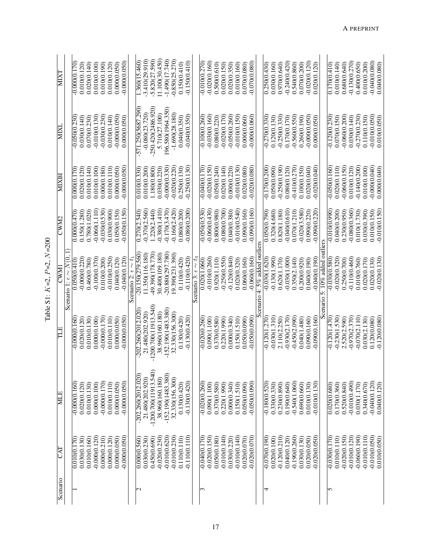| Š           |
|-------------|
| ျံ<br>p     |
| ن<br>ب<br>н |
| ۳           |
| آلولاء<br>i |

| Scenario         | E               | MIE                    | 出                    | <b>NWD</b>                             | CWM2                     | <b>MIXB</b>     | MIXI                 | <b>MIXT</b>      |
|------------------|-----------------|------------------------|----------------------|----------------------------------------|--------------------------|-----------------|----------------------|------------------|
|                  |                 |                        |                      | $1$ : $\epsilon \sim N(0.$<br>Scenario |                          |                 |                      |                  |
|                  | 0.010(0.170)    | $-0.00000.160$         | $-0.00000.160$       | 0.05000.410)                           | $\overline{0.00000.470}$ | 0.00000.170     | $-0.050(0.230)$      | $-0.00000170$    |
|                  | 0.030(0.130)    | 0.020(0.120)           | 0.020(0.120)         | $-0.000(0.220)$                        | 0.150(1.280)             | 0.020(0.120)    | 0.030(0.140)         | 0.010(0.120)     |
|                  | 0.010(0.160)    | 0.010(0.130)           | 0.010(0.130)         | 0.460(0.780)                           | 0.780(1.020)             | 0.010(0.140)    | 0.070(0.230)         | 0.020(0.140)     |
|                  | $-0.000(0.120)$ | 0.000(0.100)           | 0.000(0.100)         | $-0.100(0.370)$                        | $-0.060(1.110)$          | 0.010(0.100)    | $-0.010(0.130)$      | 0.010(0.100)     |
|                  | 0.000(0.210)    | $-0.000(0.170)$        | $-0.00000170$        | 0.010(0.200)                           | $-0.030(0.530)$          | 0.00000.180     | $-0.030(0.230)$      | 0.010(0.190)     |
|                  | 0.000(0.120)    | 0.010(0.110)           | 0.010(0.110)         | $-0.010(0.250)$                        | 0.030(0.900)             | 0.01000.110)    | 0.010(0.140)         | 0.010(0.120)     |
|                  | 0.000(0.050)    | 0.000(0.050)           | 0.000(0.050)         | 0.040(0.120)                           | 0.050(0.150)             | 0.000(0.050)    | $-0.000(0.050)$      | 0.000(0.050)     |
|                  | $-0.000(0.050)$ | $-0.000(0.050)$        | $-0.000(0.050)$      | $-0.040(0.120)$                        | $-0.050(0.150)$          | $-0.000(0.050)$ | 0.000(0.050)         | $-0.000(0.050)$  |
|                  |                 |                        |                      | Scenario 2: $\epsilon \sim t_1$        |                          |                 |                      |                  |
| $\mathrel{\sim}$ | 0.000(0.560)    | $-202.260(2012.020)$   | $-202.260(2012.020$  | $-20.150(279.560)$                     | 0.270(2.540)             | 0.010(0.330)    | $-571.250(5687.290)$ | 1.360(15.460)    |
|                  | 0.030(0.230)    | 21.480(202.920)        | 21.480(202.920)      | 11.350(116.180)                        | $-0.370(2.560)$          | 0.010(0.200)    | $-0.080(23.720)$     | $-3.410(29.910)$ |
|                  | 0.450(0.690)    | $-1200.700(11913.540)$ | 1200.700(11913.540)  | -49.390(178.770)                       | 1.220(2.440)             | 1.180(0.800)    | 250.420(2486.920     | $-5.820(27.590)$ |
|                  | $-0.020(0.230)$ | 38.960(160.180)        | 38.960(160.180)      | 30.400(109.180)                        | $-0.380(1.410)$          | 0.030(0.220)    | 5.710(27.100)        | 11.100(30.450)   |
|                  | $-0.010(0.620)$ | $-152.190(1483.380)$   | $-152.190(1483.380)$ | $-20.880(297.780)$                     | $-0.170(3.470)$          | $-0.000(0.330)$ | 196.580(1964.350)    | $-1.490(17.740)$ |
|                  | $-0.010(0.230)$ | 32.330(156.300)        | 32.330(156.300)      | 19.390(231.390)                        | $-0.160(2.420)$          | $-0.020(0.220)$ | $-1.690(28.180)$     | $-0.850(25.270)$ |
|                  | 0.110(0.110)    | 0.130(0.420)           | 0.130(0.420)         | 0.110(0.420)                           | 0.080(0.200)             | 0.250(0.130)    | 0.040(0.350)         | 0.150(0.410)     |
|                  | 0.110(0.110)    | $-0.130(0.420)$        | $-0.130(0.420)$      | $-0.110(0.420)$                        | 0.080(0.200)             | $-0.250(0.130)$ | $-0.040(0.350)$      | $-0.150(0.410)$  |
|                  |                 |                        |                      | Scenario 3: $\epsilon \sim t$ :        |                          |                 |                      |                  |
| ب                | $-0.040(0.170)$ | $-0.020(0.260)$        | $-0.020(0.260)$      | 0.020(1.060)                           | $-0.050(0.530)$          | $-0.040(0.170)$ | $-0.100(0.260)$      | $-0.010(0.270)$  |
|                  | $-0.020(0.150)$ | 0.090(1.100)           | 0.090(1.100)         | $-0.010(0.260)$                        | $-0.060(0.430)$          | $-0.020(0.150)$ | $-0.030(0.160)$      | $-0.020(0.160)$  |
|                  | 0.050(0.180)    | 0.370(0.580)           | 0.370(0.580)         | 0.920(1.110)                           | 0.800(0.980)             | 0.05000.240)    | 0.080(0.220)         | 0.500(0.610)     |
|                  | $-0.010(0.140)$ | 0.220(1.990)           | 0.220(1.990)         | $-0.250(0.550)$                        | $-0.080(0.700$           | 0.020(0.140)    | $-0.020(0.170)$      | 0.020(0.150)     |
|                  | 0.030(0.220)    | 0.000(0.340)           | 0.000(0.340)         | $-0.120(0.840)$                        | 0.040(0.380)             | 0.000(0.220)    | $-0.050(0.260)$      | 0.020(0.350)     |
|                  | $-0.010(0.140)$ | 0.150(1.510)           | 0.150(1.510)         | 0.020(0.320)                           | $-0.010(0.540)$          | $-0.010(0.130)$ | $-0.010(0.150)$      | 0.010(0.160)     |
|                  | 0.020(0.070)    | 0.050(0.090)           | 0.050(0.090)         | 0.060(0.160)                           | 0.090(0.160)             | 0.020(0.080)    | 0.000(0.060)         | 0.070(0.080)     |
|                  | $-0.020(0.070)$ | $-0.050(0.090)$        | $-0.050(0.090)$      | $-0.060(0.160)$                        | $-0.090(0.160)$          | $-0.020(0.080)$ | $-0.000(0.060)$      | $-0.070(0.080)$  |
|                  |                 |                        | cenario              | 4: $5\%$ added ou                      |                          |                 |                      |                  |
| 4                | $-0.070(0.190)$ | $-0.180(0.520)$        | $-0.120(1.270)$      | $-0.030(1.620)$                        | 0.05000.790              | $-0.170(0.200)$ | $-0.270(0.330)$      | 0.250(0.430      |
|                  | 0.020(0.100)    | 0.330(0.330)           | $-0.030(1.310)$      | $-0.130(1.990)$                        | 0.320(4.680)             | 0.050(0.090)    | 0.120(0.130)         | 0.030(0.160)     |
|                  | $-0.120(0.210)$ | 0.230(0.890)           | 2.110(2.250)         | 0.620(1.170)                           | 0.820(1.180)             | $-0.250(0.190)$ | $-0.250(0.330)$      | 0.970(0.640)     |
|                  | 0.040(0.120)    | 0.190(0.640)           | $-0.930(2.170)$      | $-0.030(1.000)$                        | $-0.040(0.610)$          | 0.080(0.120)    | 0.170(0.170)         | $-0.240(0.420)$  |
|                  | $-0.190(0.260)$ | $-0.540(1.060)$        | $-0.450(2.090)$      | 0.350(2.140)                           | 0.070(1.210)             | $-0.410(0.270)$ | $-0.560(0.550)$      | 0.540(0.860)     |
|                  | 0.030(0.130)    | 0.690(0.660)           | 0.040(1.480)         | 0.200(0.920)                           | $-0.020(3.580)$          | 0.100(0.150)    | 0.260(0.190)         | 0.070(0.200)     |
|                  | 0.020(0.050)    | 0.010(0.130)           | 0.090(0.160)         | 0.040(0.190)                           | 0.090(0.220)             | 0.020(0.040)    | $-0.000(0.050)$      | $-0.020(0.120)$  |
|                  | 0.020(0.050)    | 0.010(0.130)           | 0.090(0.160          | $-0.040(0.190)$                        | $-0.090(0.220)$          | 0.020(0.040)    | 0.00000.050          | 0.020(0.120)     |
|                  |                 |                        |                      | $10\%$ added ou<br>.<br>Si             |                          |                 |                      |                  |
| 5                | $-0.030(0.170)$ | 0.020(0.680)           | $-0.120(1.470)$      | $-0.080(0.580)$                        | $-0.010(0.990)$          | $-0.050(0.160)$ | $-0.120(0.230)$      | 0.17000.410)     |
|                  | 0.010(0.110)    | 0.170(0.360)           | $-0.230(1.530)$      | $-0.020(0.320)$                        | 0.040(0.200)             | 0.020(0.110)    | 0.070(0.150)         | 0.01000.140)     |
|                  | $-0.020(0.150)$ | 0.520(0.840)           | 2.520(2.590)         | 0.250(0.700)                           | 0.230(0.950)             | $-0.060(0.150)$ | $-0.060(0.200)$      | 0.680(0.640)     |
|                  | $-0.010(0.120)$ | $-0.010(0.490)$        | $-0.970(2.370)$      | $-0.110(0.460)$                        | $-0.080(0.360)$          | 0.010(0.120)    | 0.030(0.140)         | $-0.130(0.270)$  |
|                  | $-0.060(0.190)$ | 0.030(1.170)           | $-0.070(2.110)$      | 0.010(0.760)                           | 0.010(1.730)             | $-0.140(0.200)$ | $-0.270(0.230)$      | 0.400(0.650)     |
|                  | $-0.010(0.110)$ | 0.340(0.670)           | 0.030(2.130)         | 0.020(0.170)                           | 0.030(0.390)             | 0.010(0.100)    | 0.110(0.150)         | 0.010(0.200)     |
|                  | $-0.010(0.050)$ | $-0.040(0.120)$        | 0.120(0.080)         | 0.020(0.130)                           | 0.010(0.150)             | $-0.00000000$   | $-0.010(0.050)$      | $-0.040(0.080)$  |
|                  | 0.010(0.050)    | 0.040(0.120)           | $-0.120(0.080)$      | $-0.020(0.130)$                        | $-0.010(0.150)$          | 0.000(0.040)    | 0.010(0.050)         | 0.040(0.080)     |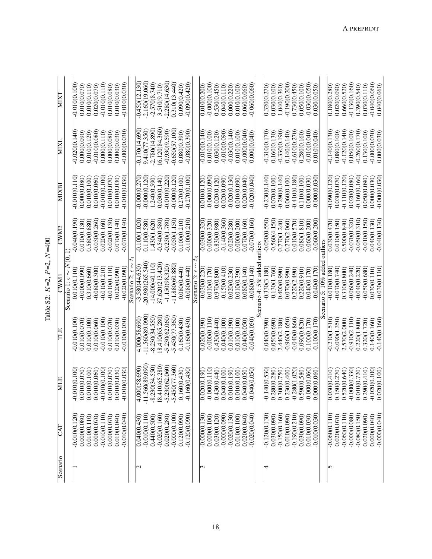| ŝ                                         |
|-------------------------------------------|
| í<br>ျ<br>C                               |
| í<br>$\tilde{\phantom{0}}$<br>ī<br>Î<br>Î |
| š                                         |
| ₹<br>듟                                    |

| Scenario          | CAT             | MLE                                       | ΠE               | <b>CWM</b>                       | CWM2            | MIXBI           | MIXI             | <b>NIXT</b>      |
|-------------------|-----------------|-------------------------------------------|------------------|----------------------------------|-----------------|-----------------|------------------|------------------|
|                   |                 |                                           |                  | Scenario 1: $\epsilon \sim N(0)$ |                 |                 |                  |                  |
|                   | $-0.010(0.120)$ | 00.100<br>-0.01                           | $-0.010(0.100$   | 0.01000.110                      | $-0.040(0.190$  | $-0.010(0.110)$ | $-0.020(0.140)$  | $-0.010(0.100)$  |
|                   | 0.000(0.080)    | 0.010(0.070)                              | 0.010(0.070)     | $-0.000(0.090)$                  | 0.010(0.130)    | 0.000(0.080     | 0.000(0.090)     | 0.010(0.070)     |
|                   | 0.010(0.110)    | 0.010(0.100)                              | 0.010(0.100)     | 0.310(0.660)                     | 0.580(0.880)    | 0.010(0.100     | 0.010(0.120)     | 0.010(0.110)     |
|                   | 0.000(0.070)    | 0.010(0.060)                              | 0.010(0.060)     | $-0.080(0.300)$                  | $-0.030(0.260)$ | 0.010(0.060)    | $-0.010(0.080)$  | 0.020(0.070)     |
|                   | $-0.010(0.110)$ | $-0.010(0.100)$                           | $-0.010(0.100)$  | $-0.010(0.210)$                  | 0.020(0.160)    | $-0.010(0.100)$ | 0.000(0.110)     | $-0.010(0.110)$  |
|                   | 0.000(0.070)    | 0.010(0.070)                              | 0.010(0.070)     | $-0.010(0.110)$                  | $-0.020(0.130)$ | 0.010(0.070)    | 0.000(0.080)     | 0.010(0.080)     |
|                   | 0.010(0.040)    | 0.010(0.030)                              | 0.010(0.030)     | 0.020(0.090)                     | 0.07000.140     | 0.010(0.030)    | 0.000(0.030)     | 0.010(0.030)     |
|                   | $-0.010(0.040)$ | 0(0.030)<br>$-0.01$                       | $-0.010(0.030)$  | $-0.020(0.090)$                  | $-0.070(0.140)$ | $-0.010(0.030)$ | $-0.000(0.030)$  | $-0.010(0.030)$  |
|                   |                 |                                           |                  | 5<br>Scenario 2: $\epsilon$      |                 |                 |                  |                  |
| $\mathbf{\Omega}$ | 0.040(0.430)    | 4.000(58.690)                             | 4.000(58.690)    | $-3.580(44.630)$                 | $-0.100(1.020)$ | $-0.00000.270$  | $-0.170(14.690)$ | $-0.450(12.130)$ |
|                   | $-0.010(0.110)$ | $-11.560(89.090$                          | 11.560(89.090    | $-20.980(265.540)$               | 0.110(0.580)    | $-0.000(0.120)$ | 9.410(77.350)    | $-2.160(19.060)$ |
|                   | 0.440(0.500)    | $-8.230(34.550)$                          | $-8.230(34.550)$ | $-14.000(40.110)$                | 1.430(1.620)    | 1.240(0.590)    | .2.780(14.890)   | $-2.570(8.740)$  |
|                   | $-0.020(0.160)$ | 18.410(65.280)                            | 18.410(65.280)   | 37.620(213.420)                  | $-0.540(0.580)$ | 0.030(0.140)    | 16.120(84.360)   | 3.510(9.710)     |
|                   | 0.020(0.280)    | $-5.230(62.060)$                          | $-5.230(62.060)$ | $-1.150(98.320)$                 | $-0.230(1.780)$ | $-0.010(0.220)$ | $-0.930(9.590)$  | $-2.280(14.630)$ |
|                   | $-0.000(0.100)$ | $-5.450(77.360)$                          | 5.450(77.360)    | $-11.880(60.880)$                | $-0.050(1.150)$ | $-0.000(0.120)$ | $-0.650(57.100)$ | 0.310(13.440)    |
|                   | 0.120(0.090)    | 0.160(0.430)                              | 0.160(0.430)     | 0.080(0.440)                     | 0.100(0.210)    | 0.270(0.100)    | 0.080(0.390)     | 0.090(0.420)     |
|                   | $-0.120(0.090)$ | $-0.160(0.430)$                           | $-0.160(0.430)$  | $-0.080(0.440)$                  | $-0.100(0.210)$ | $-0.270(0.100)$ | $-0.080(0.390)$  | $-0.090(0.420)$  |
|                   |                 |                                           |                  | Scenario 3: $\epsilon$           |                 |                 |                  |                  |
| $\overline{5}$    | $-0.000(0.130)$ | $\frac{0(0.190)}{0}$<br>$\overline{0.02}$ | 0.020(0.190)     | $-0.030(0.220)$                  | $-0.030(0.320)$ | 0.010(0.120     | $-0.010(0.140)$  | 0.010(0.200)     |
|                   | 0.000(0.100)    | $-0.000(0.110)$                           | $-0.00000.110$   | 0.010(0.170)                     | 0.000(0.320)    | $-0.000(0.090)$ | 0.010(0.100)     | $-0.00000100$    |
|                   | 0.030(0.120)    | 0.430(0.440)                              | 0.43000.440)     | 0.970(0.800)                     | 0.830(0.980)    | 0.020(0.120)    | 0.030(0.120)     | 0.530(0.450)     |
|                   | $-0.000(0.090)$ | 0.040(0.100)                              | 0.040(0.100)     | $-0.150(0.410)$                  | $-0.140(0.360)$ | 0.020(0.090)    | $-0.010(0.090)$  | 0.040(0.110)     |
|                   | $-0.020(0.130)$ | 0.010(0.190)                              | 0.010(0.190)     | 0.020(0.230)                     | 0.020(0.280)    | $-0.020(0.130)$ | $-0.030(0.140)$  | 0.000(0.220)     |
|                   | 0.010(0.100)    | 0.010(0.100)                              | 0.010(0.100)     | 0.010(0.390)                     | 0.000(0.200)    | 0.010(0.090)    | 0.010(0.100)     | 0.010(0.100)     |
|                   | 0.020(0.040)    | 0(0.050)<br>0.04                          | 0.040(0.050)     | 0.080(0.140)                     | 0.07000.160     | 0.020(0.040)    | $-0.000(0.040)$  | 0.06000.060      |
|                   | $-0.020(0.040)$ | $-0(0.050)$<br>$-0.04$                    | $-0.040(0.050)$  | $-0.080(0.140)$                  | $-0.070(0.160)$ | $-0.020(0.040)$ | 0.000(0.040)     | $-0.060(0.060)$  |
|                   |                 |                                           |                  | cenario 4: $5\%$ added           | outliers        |                 |                  |                  |
| 4                 | $-0.120(0.130)$ | $-0.140(0.530)$                           | 0.040(0.790      | $-0.330(3.180)$                  | $-0.050(0.550)$ | $-0.230(0.140)$ | $-0.310(0.170)$  | 0.320(0.270)     |
|                   | 0.030(0.090)    | 0.280(0.280)                              | 0.050(0.690)     | $-0.130(1.760)$                  | $-0.560(4.150)$ | 0.070(0.100)    | 0.160(0.130)     | 0.030(0.100)     |
|                   | $-0.150(0.160)$ | 0.300(0.750)                              | 2.440(2.180)     | 0.400(0.990)                     | 0.770(1.240)    | $-0.290(0.140)$ | $-0.330(0.190)$  | 1.040(0.360)     |
|                   | 0.010(0.090)    | 0.230(0.400)                              | $-0.960(1.650)$  | 0.070(0.990)                     | 0.270(2.060)    | 0.060(0.100)    | 0.140(0.140)     | $-0.190(0.200)$  |
|                   | $-0.190(0.210)$ | $-0.280(1.020)$                           | $-0.040(0.860)$  | 0.220(2.490)                     | 0.010(0.570)    | $-0.410(0.180)$ | $-0.610(0.270)$  | 0.730(0.450)     |
|                   | 0.030(0.090)    | 0.590(0.580)                              | 0.090(0.820)     | 0.220(0.910)                     | 0.080(1.810)    | 0.110(0.100)    | 0.280(0.160)     | 0.050(0.100)     |
|                   | 0.010(0.030)    | $-0.000(0.060)$                           | 0.100(0.170)     | 0.040(0.170)                     | 0.060(0.200)    | 0.00000.030     | $-0.010(0.040)$  | $-0.030(0.050)$  |
|                   | 0.010(0.030)    | 060.060<br>0.00                           | $-0.100(0.170)$  | $-0.040(0.170)$                  | $-0.060(0.200)$ | 0.000(0.030)    | 0.010(0.040)     | 0.030(0.050)     |
|                   |                 |                                           |                  | enario 5: $10\%$ added           | outliers        |                 |                  |                  |
| 5                 | $-0.060(0.110)$ | $\overline{0.030(0.410)}$                 | $-0.210(1.510)$  | $-0.010(0.180)$                  | 0.03000.470)    | $-0.09000120$   | $-0.140(0.130)$  | 0.180(0.280)     |
|                   | 0.020(0.070)    | 0.150(0.270)                              | $-0.090(1.350)$  | $-0.070(0.740)$                  | 0.010(0.150)    | 0.030(0.070)    | 0.080(0.100)     | 0.020(0.090)     |
|                   | $-0.060(0.110)$ | 0.520(0.640)                              | 2.570(2.000)     | 0.310(0.800)                     | 0.500(0.840)    | $-0.110(0.120)$ | $-0.120(0.140)$  | 0.660(0.520)     |
|                   | $-0.000(0.080)$ | $-0.000(0.330)$                           | $-0.910(2.110)$  | $-0.060(0.240)$                  | $-0.070(0.320)$ | 0.020(0.080)    | 0.050(0.100)     | $-0.130(0.160)$  |
|                   | $-0.080(0.150)$ | 0.010(0.720)                              | 0.220(1.800)     | $-0.040(0.220)$                  | $-0.050(0.310)$ | $-0.160(0.160)$ | $-0.260(0.170)$  | 0.390(0.540)     |
|                   | 0.020(0.090)    | 0.290(0.410)                              | 0.320(1.720)     | $-0.050(0.680)$                  | $-0.010(0.150)$ | 0.050(0.090)    | 0.130(0.100)     | 0.030(0.110)     |
|                   | 0.00000.040)    | $-0.020(0.100)$                           | 0.140(0.160)     | 0.030(0.110)                     | 0.040(0.130)    | 0.000(0.030)    | $-0.000(0.030)$  | $-0.040(0.060$   |
|                   | $-0.000(0.040)$ | 0(0.100)<br>0.02                          | $-0.140(0.160)$  | $-0.030(0.110)$                  | $-0.040(0.130)$ | $-0.000(0.030)$ | 0.000(0.030)     | 0.040(0.060)     |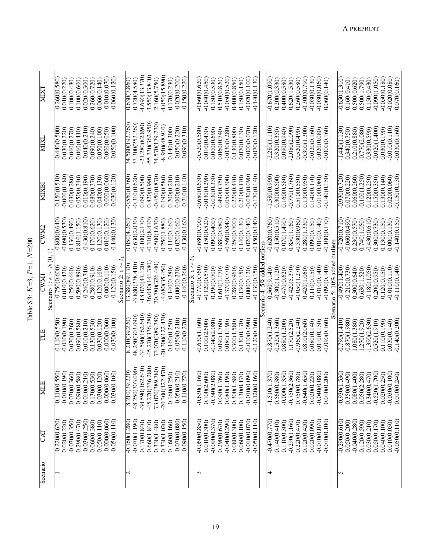| Scenario    | CAT             | EM                            | TLE                | <b>CWM</b>                       | <b>CWM2</b>     | MIXBI           | MIXL               | <b>MIXT</b>      |
|-------------|-----------------|-------------------------------|--------------------|----------------------------------|-----------------|-----------------|--------------------|------------------|
|             |                 |                               |                    | Scenario 1: $\epsilon \sim N(0)$ |                 |                 |                    |                  |
|             | $-0.220(0.620)$ | 550<br>$-0.110(0)$            | $-0.110(0.550)$    | $-0.750(0.600$                   | $-0.800(0.640)$ | $-0.150(0.510)$ | $-0.440(0.500)$    | $-0.260(0.580)$  |
|             | 0.020(0.220)    | $-0.010(0.190)$               | $-0.010(0.190)$    | 0.010(0.420)                     | $-0.090(0.530)$ | $-0.000(0.180)$ | 0.030(0.220)       | 0.010(0.220)     |
|             | $-0.070(0.350)$ | 0.070(0.360)                  | 0.070(0.360)       | 0.250(0.660)                     | 0.130(0.490)    | 0.030(0.280)    | 0.060(0.270)       | 0.100(0.430)     |
|             | 0.290(0.470)    | 580)<br>0.090(0.              | 0.090(0.580)       | 0.590(0.890)                     | 0.810(1.150)    | 0.05000.340     | 0.060(0.410)       | 0.100(0.600)     |
|             | $-0.030(0.250)$ | 0.010(0.210)                  | 0.010(0.210)       | $-0.240(0.740)$                  | $-0.430(0.810)$ | 0.010(0.190)    | $-0.040(0.210)$    | 0.020(0.300)     |
|             | 0.060(0.380)    | 530)<br>0.130(0.              | 0.130(0.530)       | 0.280(0.910)                     | 0.170(0.620)    | 0.080(0.370)    | 0.090(0.240)       | 0.260(0.720)     |
|             | 0.050(0.110)    | 0.030(0.120)                  | 0.030(0.120)       | 0.120(0.160)                     | 0.120(0.130)    | 0.040(0.130)    | 0.050(0.100)       | 0.060(0.140)     |
|             | $-0.000(0.060)$ | $-0.000(0.060)$               | $-0.000(0.060)$    | $-0.000(0.110)$                  | 0.010(0.120)    | $-0.000(0.060)$ | 0.000(0.050)       | $-0.010(0.070)$  |
|             | $-0.050(0.110)$ | $-0.030(0.100)$               | $-0.030(0.100$     | $-0.120(0.150)$                  | $-0.140(0.130)$ | $-0.030(0.120)$ | $-0.050(0.100)$    | $-0.060(0.120)$  |
|             |                 |                               |                    | Scenario $2: \epsilon$           |                 |                 |                    |                  |
| $\mathbf 2$ | $-0.160(1.280)$ | 8.210(39.220)                 | 8.210(39.220)      | 13.380(89.170)                   | 0.050(4.260)    | $-0.550(0.760)$ | 34.580(192.760)    | 0.630(7.860)     |
|             | $-0.070(1.190)$ | 48.250(303.090)               | 48.250(303.090)    | 3.880(238.410)                   | $-0.630(2.030)$ | $-0.310(0.620)$ | 33.300(252.260)    | 0.720(4.580)     |
|             | 0.170(0.840)    | $-34.590(162.640)$            | 34.590(162.640)    | $-18.070(47.120)$                | $-0.100(2.170)$ | 0.090(0.500)    | $-21.280(82.890)$  | 4.690(13.370)    |
|             | 0.660(1.840)    | -45.270(336.280)              | 45.270(336.280)    | 36.040(141.380)                  | $-0.310(8.410)$ | 0.820(0.990)    | $-55.330(362.950)$ | $-3.550(13.840)$ |
|             | 0.330(1.480)    | 73.070(389.780)               | 73.070(389.780)    | 70.780(326.440)                  | $-0.500(1.670)$ | $-0.450(0.870)$ | 34.570(179.730)    | 2.160(5.750)     |
|             | 0.330(1.020)    | $-20.300(122.470)$            | $-20.300(122.470)$ | $-4.680(35.450)$                 | 0.250(1.880)    | 0.190(0.580)    | $-8.940(48.910)$   | $-4.050(15.890)$ |
|             | 0.160(0.160)    | 0.160(0.250)                  | 0.160(0.250)       | 0.140(0.280)                     | 0.110(0.160)    | 0.200(0.210)    | 0.140(0.300)       | 0.170(0.230)     |
|             | $-0.070(0.080)$ | $-0.050(0.210)$               | $-0.050(0.210)$    | 0.00000.270)                     | 0.020(0.160)    | 0.00000.210     | $-0.050(0.220)$    | $-0.020(0.200)$  |
|             | $-0.090(0.150)$ | $-0.110(0.270)$               | $-0.110(0.270)$    | $-0.140(0.260)$                  | 0.130(0.160)    | $-0.210(0.140)$ | $-0.090(0.310)$    | $-0.150(0.220)$  |
|             |                 |                               |                    | Scenario 3: $\epsilon \sim$      |                 |                 |                    |                  |
|             | $-0.060(0.850)$ | $-0.630(1.160)$               | $-0.630(1.160)$    | $-0.770(0.760)$                  | $-0.680(0.700$  | $-0.680(0.630)$ | $-0.520(0.580)$    | $-0.660(0.620)$  |
|             | 0.010(0.300)    | (000)<br>0.100(2.             | 0.100(2.600)       | $-0.120(0.570)$                  | $-0.150(0.520)$ | $-0.030(0.290)$ | 0.010(0.430)       | $-0.040(0.450)$  |
|             | $-0.090(0.370)$ | $-0.340(2.080)$               | $-0.340(2.080)$    | 0.190(0.700)                     | 0.090(0.400)    | $-0.030(0.330)$ | 0.000(0.690)       | 0.150(0.530)     |
|             | 0.290(0.670)    | 0.090(1.760)                  | 0.090(1.760)       | 0.610(1.170)                     | 0.880(0.980)    | 0.490(0.750)    | 0.06000.740        | 0.510(0.820)     |
|             | $-0.040(0.290)$ | 190)<br>0.080(1.              | 0.080(1.190)       | $-0.370(0.770)$                  | $-0.560(0.840)$ | 0.050(0.300)    | $-0.030(0.280)$    | $-0.050(0.520)$  |
|             | 0.080(0.300)    | 0.300(1.580)                  | 0.300(1.580)       | 0.280(0.960)                     | 0.250(0.700)    | 0.220(0.470)    | 0.130(0.800)       | 0.400(0.850)     |
|             | 0.060(0.100)    | 170)<br>0.13000.              | 0.130(0.170)       | 0.130(0.150)                     | 0.140(0.130)    | 0.210(0.170)    | 0.070(0.130)       | 0.150(0.150)     |
|             | $-0.010(0.070)$ | (0.60)<br>$-0.010(0)$         | $-0.010(0.090)$    | 0.000(0.120)                     | 0.020(0.140)    | $-0.030(0.090)$ | $-0.000(0.070)$    | $-0.020(0.100)$  |
|             | $-0.050(0.110)$ | $-0.120(0.160)$               | $-0.120(0.160)$    | $-0.130(0.150)$                  | $-0.150(0.140)$ | $-0.170(0.140)$ | $-0.070(0.120)$    | $-0.140(0.130)$  |
|             |                 |                               |                    | Scenario 4: $5\%$ added          | outliers        |                 |                    |                  |
| 4           | $-0.470(0.770)$ | .370<br>$-1.510(1)$           | $-0.870(1.240$     | 0.560(9.140)                     | $-0.620(0.760)$ | $-1.580(0.990$  | $-2.280(1.110)$    | $-0.670(1.090)$  |
|             | 0.140(0.410)    | 0.560(0.580)                  | $-0.520(1.360)$    | $-0.300(1.120)$                  | $-0.150(0.510)$ | 0.300(0.500)    | 0.320(0.350)       | 0.200(0.330)     |
|             | 0.110(0.300)    | $-0.000(1.350)$               | 0.880(1.200)       | 0.470(0.620)                     | 0.070(1.490)    | 0.160(0.580)    | 0.090(0.940)       | 0.400(0.580)     |
|             | $-0.290(1.160)$ | $-0.750(2.360)$               | 1.170(2.520)       | $-0.420(5.370)$                  | 0.850(1.160)    | $-0.770(1.760)$ | $-2.080(2.090)$    | 0.620(1.530)     |
|             | 0.220(0.470)    | 0.750(0.780)                  | $-0.960(2.240)$    | $-0.050(1.270)$                  | $-0.330(0.960)$ | 0.510(0.550)    | 0.520(0.490)       | 0.260(0.580)     |
|             | 0.120(0.420)    | $-0.640(1.650)$               | 0.810(2.060)       | 0.420(1.060)                     | 0.280(1.330)    | 0.130(0.950)    | $-0.300(1.300)$    | $-0.300(0.790)$  |
|             | 0.020(0.090)    | 220)<br>0.020(0.              | 0.080(0.140)       | 0.110(0.150)                     | 0.090(0.150)    | 0.140(0.170)    | $-0.020(0.160)$    | $-0.030(0.130)$  |
|             | $-0.010(0.070)$ | $-0.040(0.080)$               | 0.010(0.150        | $-0.010(0.140)$                  | 0.010(0.140)    | 0.010(0.080     | 0.020(0.080)       | $-0.030(0.060)$  |
|             | $-0.010(0.100)$ | (000)<br>0.010(0.             | $-0.090(0.160)$    | $-0.090(0.140)$                  | $-0.100(0.170)$ | $-0.140(0.150)$ | $-0.000(0.160)$    | 0.060(0.140)     |
|             |                 |                               |                    | cenario 5: $10\%$ added          | outliers        |                 |                    |                  |
| S           | $-0.290(0.610)$ | 530<br>$-0.930(1)$            | $-0.790(1.410)$    | $-0.490(1.400)$                  | $-0.720(0.710)$ | $-0.930(0.720)$ | $-1.440(1.130)$    | $-0.650(1.310)$  |
|             | 0.050(0.200)    | 0.350(0.490)                  | $-0.870(1.980)$    | $-0.210(0.730)$                  | $-0.060(0.490)$ | 0.070(0.220)    | 0.340(0.750)       | 0.160(0.410)     |
|             | $-0.040(0.280)$ | 0.080(1.400)                  | 1.080(1.380)       | 0.300(0.640)                     | 0.230(0.570)    | 0.060(0.260)    | 0.210(0.880)       | 0.500(0.620)     |
|             | 0.120(0.590)    | 0.050(2.280)                  | 1.270(1.920)       | 0.630(1.520)                     | 0.740(1.050)    | $-0.100(1.250)$ | $-0.770(2.080)$    | 0.500(1.790)     |
|             | 0.030(0.210)    | 0.340(0.470)                  | $-1.390(2.630)$    | $-0.180(1.050)$                  | $-0.430(0.610)$ | 0.120(0.250)    | 0.330(0.590)       | 0.150(0.430)     |
|             | 0.050(0.170)    | $-0.520(1.700)$               | 0.520(1.910)       | 0.20000.950)                     | 0.300(0.730)    | 0.150(0.350)    | $-0.020(1.400)$    | $-0.090(1.050)$  |
|             | 0.040(0.100)    | 0.020(0.250)                  | 0.110(0.190)       | 0.120(0.150)                     | 0.130(0.150)    | 0.130(0.140)    | 0.030(0.190)       | $-0.050(0.180)$  |
|             | 0.010(0.050)    | $-0.030(0.100)$               | 0.030(0.140)       | $-0.010(0.110)$                  | 0.000(0.130)    | 0.020(0.060)    | $-0.010(0.110)$    | $-0.020(0.080)$  |
|             | $-0.050(0.110)$ | $\widetilde{240}$<br>0.010(0. | $-0.140(0.200$     | $-0.110(0.140)$                  | $-0.140(0.150)$ | $-0.150(0.130)$ | $-0.030(0.160)$    | 0.070(0.160)     |

19